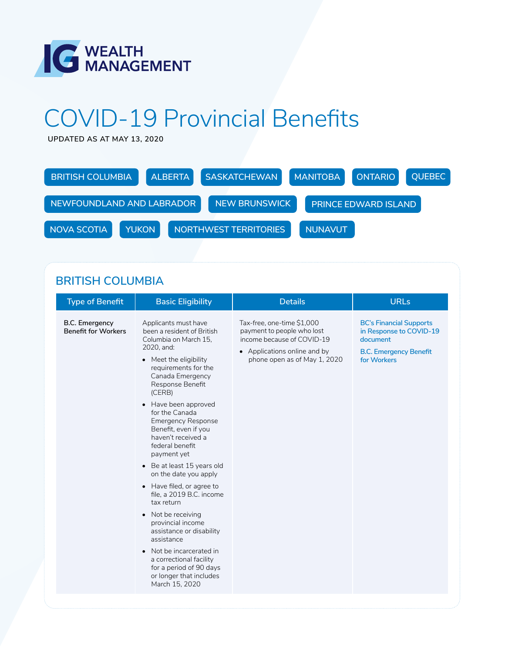

# COVID-19 Provincial Benefits

**UPDATED AS AT MAY 13, 2020**

| <b>BRITISH COLUMBIA</b>     |  | <b>ALBERTA</b> | <b>SASKATCHEWAN</b>   | <b>MANITOBA</b> | <b>ONTARIO</b>              | <b>OUEBEC</b> |
|-----------------------------|--|----------------|-----------------------|-----------------|-----------------------------|---------------|
| NEWFOUNDLAND AND LABRADOR   |  |                | <b>NEW BRUNSWICK</b>  |                 | <b>PRINCE EDWARD ISLAND</b> |               |
| <b>YUKON</b><br>NOVA SCOTIA |  |                | NORTHWEST TERRITORIES | <b>NUNAVUT</b>  |                             |               |

### **BRITISH COLUMBIA**

| <b>Type of Benefit</b>                       | <b>Basic Eligibility</b>                                                                                                                                                                                                                                                                                                                                                                                                                                                                                                                                                                                                                                                                                          | <b>Details</b>                                                                                                                                         | <b>URLs</b>                                                                                                           |
|----------------------------------------------|-------------------------------------------------------------------------------------------------------------------------------------------------------------------------------------------------------------------------------------------------------------------------------------------------------------------------------------------------------------------------------------------------------------------------------------------------------------------------------------------------------------------------------------------------------------------------------------------------------------------------------------------------------------------------------------------------------------------|--------------------------------------------------------------------------------------------------------------------------------------------------------|-----------------------------------------------------------------------------------------------------------------------|
| B.C. Emergency<br><b>Benefit for Workers</b> | Applicants must have<br>been a resident of British<br>Columbia on March 15,<br>2020, and:<br>• Meet the eligibility<br>requirements for the<br>Canada Emergency<br>Response Benefit<br>(CERB)<br>• Have been approved<br>for the Canada<br><b>Emergency Response</b><br>Benefit, even if you<br>haven't received a<br>federal benefit<br>payment yet<br>• Be at least 15 years old<br>on the date you apply<br>• Have filed, or agree to<br>file, a 2019 B.C. income<br>tax return<br>Not be receiving<br>$\bullet$<br>provincial income<br>assistance or disability<br>assistance<br>• Not be incarcerated in<br>a correctional facility<br>for a period of 90 days<br>or longer that includes<br>March 15, 2020 | Tax-free, one-time \$1,000<br>payment to people who lost<br>income because of COVID-19<br>• Applications online and by<br>phone open as of May 1, 2020 | <b>BC's Financial Supports</b><br>in Response to COVID-19<br>document<br><b>B.C. Emergency Benefit</b><br>for Workers |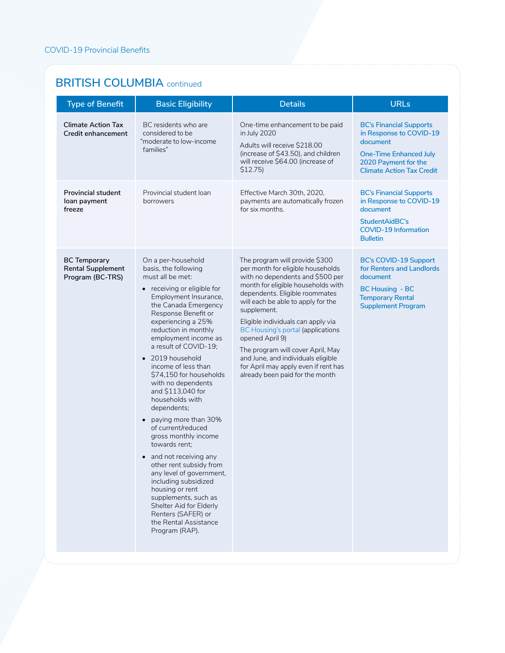#### **BRITISH COLUMBIA** continued

| <b>Type of Benefit</b>                                              | <b>Basic Eligibility</b>                                                                                                                                                                                                                                                                                                                                                                                                                                                                                                                                                                                                                                                                                                                                          | <b>Details</b>                                                                                                                                                                                                                                                                                                                                                                                                                                                                                  | <b>URLs</b>                                                                                                                                                        |
|---------------------------------------------------------------------|-------------------------------------------------------------------------------------------------------------------------------------------------------------------------------------------------------------------------------------------------------------------------------------------------------------------------------------------------------------------------------------------------------------------------------------------------------------------------------------------------------------------------------------------------------------------------------------------------------------------------------------------------------------------------------------------------------------------------------------------------------------------|-------------------------------------------------------------------------------------------------------------------------------------------------------------------------------------------------------------------------------------------------------------------------------------------------------------------------------------------------------------------------------------------------------------------------------------------------------------------------------------------------|--------------------------------------------------------------------------------------------------------------------------------------------------------------------|
| <b>Climate Action Tax</b><br>Credit enhancement                     | BC residents who are<br>considered to be<br>"moderate to low-income<br>families"                                                                                                                                                                                                                                                                                                                                                                                                                                                                                                                                                                                                                                                                                  | One-time enhancement to be paid<br>in July 2020<br>Adults will receive \$218.00<br>(increase of \$43.50), and children<br>will receive \$64.00 (increase of<br>$$12.75$ )                                                                                                                                                                                                                                                                                                                       | <b>BC's Financial Supports</b><br>in Response to COVID-19<br>document<br><b>One-Time Enhanced July</b><br>2020 Payment for the<br><b>Climate Action Tax Credit</b> |
| <b>Provincial student</b><br>loan payment<br>freeze                 | Provincial student loan<br>borrowers                                                                                                                                                                                                                                                                                                                                                                                                                                                                                                                                                                                                                                                                                                                              | Effective March 30th, 2020,<br>payments are automatically frozen<br>for six months.                                                                                                                                                                                                                                                                                                                                                                                                             | <b>BC's Financial Supports</b><br>in Response to COVID-19<br>document<br>StudentAidBC's<br><b>COVID-19 Information</b><br><b>Bulletin</b>                          |
| <b>BC Temporary</b><br><b>Rental Supplement</b><br>Program (BC-TRS) | On a per-household<br>basis, the following<br>must all be met:<br>• receiving or eligible for<br>Employment Insurance,<br>the Canada Emergency<br>Response Benefit or<br>experiencing a 25%<br>reduction in monthly<br>employment income as<br>a result of COVID-19:<br>• 2019 household<br>income of less than<br>\$74,150 for households<br>with no dependents<br>and \$113,040 for<br>households with<br>dependents;<br>• paying more than 30%<br>of current/reduced<br>gross monthly income<br>towards rent:<br>• and not receiving any<br>other rent subsidy from<br>any level of government,<br>including subsidized<br>housing or rent<br>supplements, such as<br>Shelter Aid for Elderly<br>Renters (SAFER) or<br>the Rental Assistance<br>Program (RAP). | The program will provide \$300<br>per month for eligible households<br>with no dependents and \$500 per<br>month for eligible households with<br>dependents. Eligible roommates<br>will each be able to apply for the<br>supplement.<br>Eligible individuals can apply via<br><b>BC Housing's portal (applications</b><br>opened April 9)<br>The program will cover April, May<br>and June, and individuals eligible<br>for April may apply even if rent has<br>already been paid for the month | <b>BC's COVID-19 Support</b><br>for Renters and Landlords<br>document<br><b>BC Housing - BC</b><br><b>Temporary Rental</b><br><b>Supplement Program</b>            |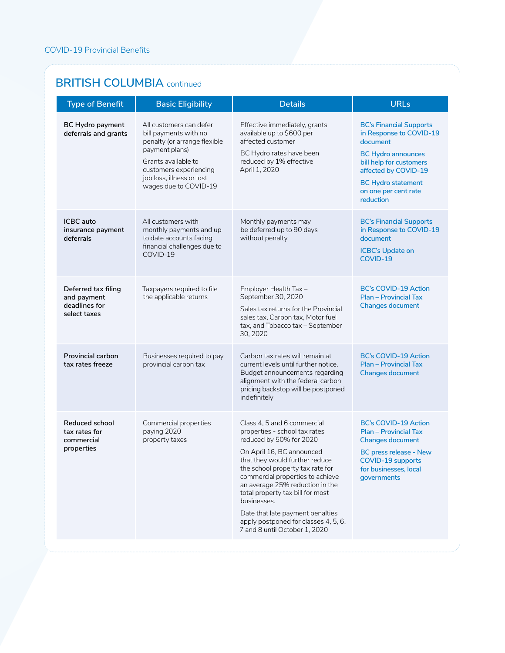#### **BRITISH COLUMBIA** continued

| <b>Type of Benefit</b>                                              | <b>Basic Eligibility</b>                                                                                                                                                                                  | <b>Details</b>                                                                                                                                                                                                                                                                                                                                                                                                                    | <b>URLs</b>                                                                                                                                                                                                             |
|---------------------------------------------------------------------|-----------------------------------------------------------------------------------------------------------------------------------------------------------------------------------------------------------|-----------------------------------------------------------------------------------------------------------------------------------------------------------------------------------------------------------------------------------------------------------------------------------------------------------------------------------------------------------------------------------------------------------------------------------|-------------------------------------------------------------------------------------------------------------------------------------------------------------------------------------------------------------------------|
| <b>BC Hydro payment</b><br>deferrals and grants                     | All customers can defer<br>bill payments with no<br>penalty (or arrange flexible<br>payment plans)<br>Grants available to<br>customers experiencing<br>job loss, illness or lost<br>wages due to COVID-19 | Effective immediately, grants<br>available up to \$600 per<br>affected customer<br>BC Hydro rates have been<br>reduced by 1% effective<br>April 1, 2020                                                                                                                                                                                                                                                                           | <b>BC's Financial Supports</b><br>in Response to COVID-19<br>document<br><b>BC Hydro announces</b><br>bill help for customers<br>affected by COVID-19<br><b>BC Hydro statement</b><br>on one per cent rate<br>reduction |
| <b>ICBC</b> auto<br>insurance payment<br>deferrals                  | All customers with<br>monthly payments and up<br>to date accounts facing<br>financial challenges due to<br>COVID-19                                                                                       | Monthly payments may<br>be deferred up to 90 days<br>without penalty                                                                                                                                                                                                                                                                                                                                                              | <b>BC's Financial Supports</b><br>in Response to COVID-19<br>document<br><b>ICBC's Update on</b><br>COVID-19                                                                                                            |
| Deferred tax filing<br>and payment<br>deadlines for<br>select taxes | Taxpayers required to file<br>the applicable returns                                                                                                                                                      | Employer Health Tax -<br>September 30, 2020<br>Sales tax returns for the Provincial<br>sales tax, Carbon tax, Motor fuel<br>tax, and Tobacco tax - September<br>30, 2020                                                                                                                                                                                                                                                          | <b>BC's COVID-19 Action</b><br><b>Plan - Provincial Tax</b><br><b>Changes document</b>                                                                                                                                  |
| <b>Provincial carbon</b><br>tax rates freeze                        | Businesses required to pay<br>provincial carbon tax                                                                                                                                                       | Carbon tax rates will remain at<br>current levels until further notice.<br>Budget announcements regarding<br>alignment with the federal carbon<br>pricing backstop will be postponed<br>indefinitely                                                                                                                                                                                                                              | <b>BC's COVID-19 Action</b><br><b>Plan - Provincial Tax</b><br><b>Changes document</b>                                                                                                                                  |
| Reduced school<br>tax rates for<br>commercial<br>properties         | Commercial properties<br>paying 2020<br>property taxes                                                                                                                                                    | Class 4, 5 and 6 commercial<br>properties - school tax rates<br>reduced by 50% for 2020<br>On April 16, BC announced<br>that they would further reduce<br>the school property tax rate for<br>commercial properties to achieve<br>an average 25% reduction in the<br>total property tax bill for most<br>businesses.<br>Date that late payment penalties<br>apply postponed for classes 4, 5, 6,<br>7 and 8 until October 1, 2020 | <b>BC's COVID-19 Action</b><br><b>Plan - Provincial Tax</b><br><b>Changes document</b><br><b>BC</b> press release - New<br><b>COVID-19 supports</b><br>for businesses, local<br>governments                             |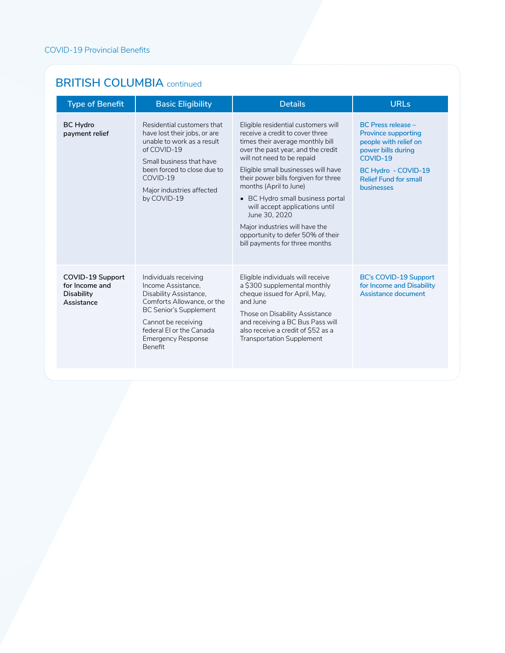#### **BRITISH COLUMBIA** continued

| <b>Type of Benefit</b>                                                | <b>Basic Eligibility</b>                                                                                                                                                                                                        | <b>Details</b>                                                                                                                                                                                                                                                                                                                                                                                                                                                                          | <b>URLs</b>                                                                                                                                                                                    |
|-----------------------------------------------------------------------|---------------------------------------------------------------------------------------------------------------------------------------------------------------------------------------------------------------------------------|-----------------------------------------------------------------------------------------------------------------------------------------------------------------------------------------------------------------------------------------------------------------------------------------------------------------------------------------------------------------------------------------------------------------------------------------------------------------------------------------|------------------------------------------------------------------------------------------------------------------------------------------------------------------------------------------------|
| <b>BC Hydro</b><br>payment relief                                     | Residential customers that<br>have lost their jobs, or are<br>unable to work as a result<br>of COVID-19<br>Small business that have<br>been forced to close due to<br>COVID-19<br>Major industries affected<br>by COVID-19      | Eligible residential customers will<br>receive a credit to cover three<br>times their average monthly bill<br>over the past year, and the credit<br>will not need to be repaid<br>Eligible small businesses will have<br>their power bills forgiven for three<br>months (April to June)<br>• BC Hydro small business portal<br>will accept applications until<br>June 30, 2020<br>Major industries will have the<br>opportunity to defer 50% of their<br>bill payments for three months | <b>BC Press release -</b><br><b>Province supporting</b><br>people with relief on<br>power bills during<br>COVID-19<br>BC Hydro - COVID-19<br><b>Relief Fund for small</b><br><b>businesses</b> |
| COVID-19 Support<br>for Income and<br><b>Disability</b><br>Assistance | Individuals receiving<br>Income Assistance.<br>Disability Assistance,<br>Comforts Allowance, or the<br><b>BC Senior's Supplement</b><br>Cannot be receiving<br>federal El or the Canada<br><b>Emergency Response</b><br>Benefit | Eligible individuals will receive<br>a \$300 supplemental monthly<br>cheque issued for April, May,<br>and lune<br>Those on Disability Assistance<br>and receiving a BC Bus Pass will<br>also receive a credit of \$52 as a<br><b>Transportation Supplement</b>                                                                                                                                                                                                                          | <b>BC's COVID-19 Support</b><br>for Income and Disability<br>Assistance document                                                                                                               |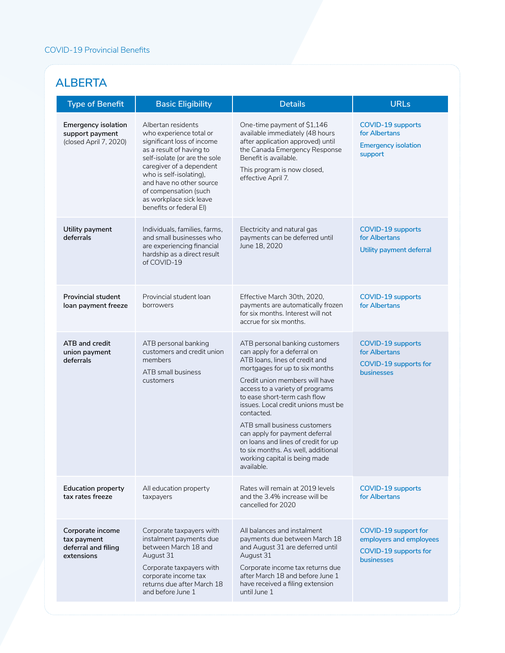### **ALBERTA**

| <b>Type of Benefit</b>                                                  | <b>Basic Eligibility</b>                                                                                                                                                                                                                                                                                   | <b>Details</b>                                                                                                                                                                                                                                                                                                                                                                                                                                                                            | <b>URLs</b>                                                                                   |
|-------------------------------------------------------------------------|------------------------------------------------------------------------------------------------------------------------------------------------------------------------------------------------------------------------------------------------------------------------------------------------------------|-------------------------------------------------------------------------------------------------------------------------------------------------------------------------------------------------------------------------------------------------------------------------------------------------------------------------------------------------------------------------------------------------------------------------------------------------------------------------------------------|-----------------------------------------------------------------------------------------------|
| <b>Emergency isolation</b><br>support payment<br>(closed April 7, 2020) | Albertan residents<br>who experience total or<br>significant loss of income<br>as a result of having to<br>self-isolate (or are the sole<br>caregiver of a dependent<br>who is self-isolating),<br>and have no other source<br>of compensation (such<br>as workplace sick leave<br>benefits or federal EI) | One-time payment of \$1,146<br>available immediately (48 hours<br>after application approved) until<br>the Canada Emergency Response<br>Benefit is available.<br>This program is now closed,<br>effective April 7.                                                                                                                                                                                                                                                                        | <b>COVID-19 supports</b><br>for Albertans<br><b>Emergency isolation</b><br>support            |
| Utility payment<br>deferrals                                            | Individuals, families, farms,<br>and small businesses who<br>are experiencing financial<br>hardship as a direct result<br>of COVID-19                                                                                                                                                                      | Electricity and natural gas<br>payments can be deferred until<br>June 18, 2020                                                                                                                                                                                                                                                                                                                                                                                                            | <b>COVID-19 supports</b><br>for Albertans<br>Utility payment deferral                         |
| <b>Provincial student</b><br>loan payment freeze                        | Provincial student loan<br>borrowers                                                                                                                                                                                                                                                                       | Effective March 30th, 2020,<br>payments are automatically frozen<br>for six months. Interest will not<br>accrue for six months.                                                                                                                                                                                                                                                                                                                                                           | <b>COVID-19 supports</b><br>for Albertans                                                     |
| ATB and credit<br>union payment<br>deferrals                            | ATB personal banking<br>customers and credit union<br>members<br>ATB small business<br>customers                                                                                                                                                                                                           | ATB personal banking customers<br>can apply for a deferral on<br>ATB loans, lines of credit and<br>mortgages for up to six months<br>Credit union members will have<br>access to a variety of programs<br>to ease short-term cash flow<br>issues. Local credit unions must be<br>contacted.<br>ATB small business customers<br>can apply for payment deferral<br>on loans and lines of credit for up<br>to six months. As well, additional<br>working capital is being made<br>available. | <b>COVID-19 supports</b><br>for Albertans<br>COVID-19 supports for<br><b>businesses</b>       |
| <b>Education property</b><br>tax rates freeze                           | All education property<br>taxpayers                                                                                                                                                                                                                                                                        | Rates will remain at 2019 levels<br>and the 3.4% increase will be<br>cancelled for 2020                                                                                                                                                                                                                                                                                                                                                                                                   | <b>COVID-19 supports</b><br>for Albertans                                                     |
| Corporate income<br>tax payment<br>deferral and filing<br>extensions    | Corporate taxpayers with<br>instalment payments due<br>between March 18 and<br>August 31<br>Corporate taxpayers with<br>corporate income tax<br>returns due after March 18<br>and before June 1                                                                                                            | All balances and instalment<br>payments due between March 18<br>and August 31 are deferred until<br>August 31<br>Corporate income tax returns due<br>after March 18 and before June 1<br>have received a filing extension<br>until June 1                                                                                                                                                                                                                                                 | COVID-19 support for<br>employers and employees<br>COVID-19 supports for<br><b>businesses</b> |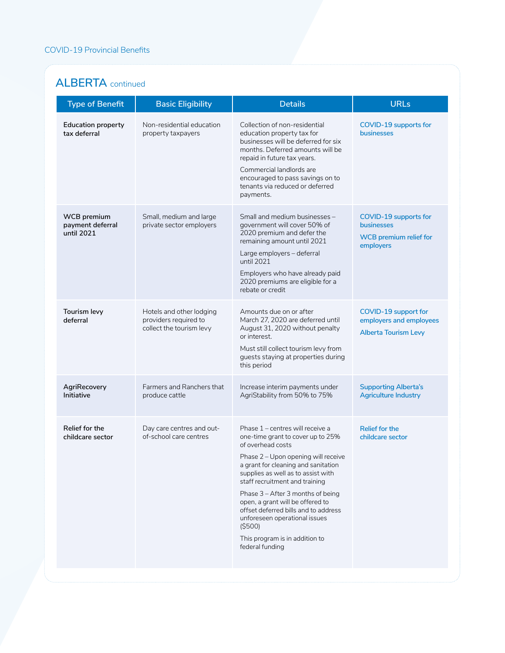#### **ALBERTA** continued

| <b>Type of Benefit</b>                        | <b>Basic Eligibility</b>                                                      | <b>Details</b>                                                                                                                                                                                                                                                                                                                                                                                                                                                      | <b>URLs</b>                                                                       |
|-----------------------------------------------|-------------------------------------------------------------------------------|---------------------------------------------------------------------------------------------------------------------------------------------------------------------------------------------------------------------------------------------------------------------------------------------------------------------------------------------------------------------------------------------------------------------------------------------------------------------|-----------------------------------------------------------------------------------|
| <b>Education property</b><br>tax deferral     | Non-residential education<br>property taxpayers                               | Collection of non-residential<br>education property tax for<br>businesses will be deferred for six<br>months. Deferred amounts will be<br>repaid in future tax years.<br>Commercial landlords are<br>encouraged to pass savings on to<br>tenants via reduced or deferred<br>payments.                                                                                                                                                                               | COVID-19 supports for<br>businesses                                               |
| WCB premium<br>payment deferral<br>until 2021 | Small, medium and large<br>private sector employers                           | Small and medium businesses -<br>government will cover 50% of<br>2020 premium and defer the<br>remaining amount until 2021<br>Large employers - deferral<br>until 2021<br>Employers who have already paid<br>2020 premiums are eligible for a<br>rebate or credit                                                                                                                                                                                                   | COVID-19 supports for<br>businesses<br><b>WCB</b> premium relief for<br>employers |
| Tourism levy<br>deferral                      | Hotels and other lodging<br>providers required to<br>collect the tourism levy | Amounts due on or after<br>March 27, 2020 are deferred until<br>August 31, 2020 without penalty<br>or interest.<br>Must still collect tourism levy from<br>guests staying at properties during<br>this period                                                                                                                                                                                                                                                       | COVID-19 support for<br>employers and employees<br><b>Alberta Tourism Levy</b>    |
| AgriRecovery<br>Initiative                    | Farmers and Ranchers that<br>produce cattle                                   | Increase interim payments under<br>AgriStability from 50% to 75%                                                                                                                                                                                                                                                                                                                                                                                                    | <b>Supporting Alberta's</b><br><b>Agriculture Industry</b>                        |
| Relief for the<br>childcare sector            | Day care centres and out-<br>of-school care centres                           | Phase 1 - centres will receive a<br>one-time grant to cover up to 25%<br>of overhead costs<br>Phase 2 - Upon opening will receive<br>a grant for cleaning and sanitation<br>supplies as well as to assist with<br>staff recruitment and training<br>Phase 3 - After 3 months of being<br>open, a grant will be offered to<br>offset deferred bills and to address<br>unforeseen operational issues<br>( \$500)<br>This program is in addition to<br>federal funding | <b>Relief for the</b><br>childcare sector                                         |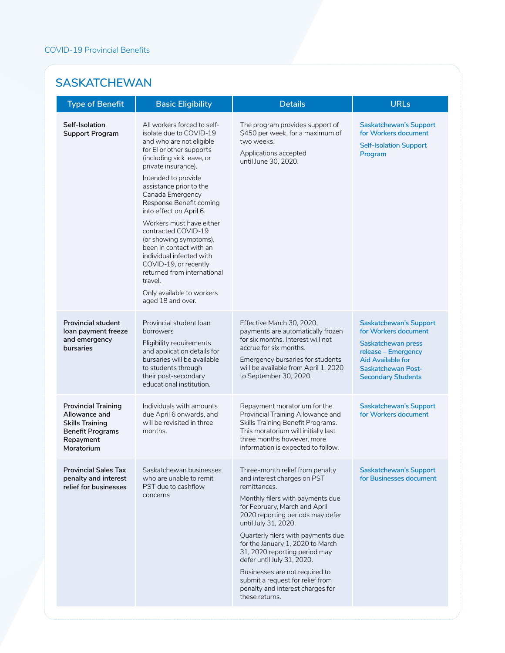#### **SASKATCHEWAN**

| <b>Type of Benefit</b>                                                                                                      | <b>Basic Eligibility</b>                                                                                                                                                                                                                                                                                                                                                                                                                                                                                                                                | <b>Details</b>                                                                                                                                                                                                                                                                                                                                                                                                                                                                       | <b>URLs</b>                                                                                                                                                                              |
|-----------------------------------------------------------------------------------------------------------------------------|---------------------------------------------------------------------------------------------------------------------------------------------------------------------------------------------------------------------------------------------------------------------------------------------------------------------------------------------------------------------------------------------------------------------------------------------------------------------------------------------------------------------------------------------------------|--------------------------------------------------------------------------------------------------------------------------------------------------------------------------------------------------------------------------------------------------------------------------------------------------------------------------------------------------------------------------------------------------------------------------------------------------------------------------------------|------------------------------------------------------------------------------------------------------------------------------------------------------------------------------------------|
| Self-Isolation<br><b>Support Program</b>                                                                                    | All workers forced to self-<br>isolate due to COVID-19<br>and who are not eligible<br>for EI or other supports<br>(including sick leave, or<br>private insurance).<br>Intended to provide<br>assistance prior to the<br>Canada Emergency<br>Response Benefit coming<br>into effect on April 6.<br>Workers must have either<br>contracted COVID-19<br>(or showing symptoms),<br>been in contact with an<br>individual infected with<br>COVID-19, or recently<br>returned from international<br>travel.<br>Only available to workers<br>aged 18 and over. | The program provides support of<br>\$450 per week, for a maximum of<br>two weeks.<br>Applications accepted<br>until June 30, 2020.                                                                                                                                                                                                                                                                                                                                                   | Saskatchewan's Support<br>for Workers document<br><b>Self-Isolation Support</b><br>Program                                                                                               |
| <b>Provincial student</b><br>loan payment freeze<br>and emergency<br>bursaries                                              | Provincial student loan<br>borrowers<br>Eligibility requirements<br>and application details for<br>bursaries will be available<br>to students through<br>their post-secondary<br>educational institution.                                                                                                                                                                                                                                                                                                                                               | Effective March 30, 2020,<br>payments are automatically frozen<br>for six months. Interest will not<br>accrue for six months.<br>Emergency bursaries for students<br>will be available from April 1, 2020<br>to September 30, 2020.                                                                                                                                                                                                                                                  | <b>Saskatchewan's Support</b><br>for Workers document<br>Saskatchewan press<br>release - Emergency<br><b>Aid Available for</b><br><b>Saskatchewan Post-</b><br><b>Secondary Students</b> |
| <b>Provincial Training</b><br>Allowance and<br><b>Skills Training</b><br><b>Benefit Programs</b><br>Repayment<br>Moratorium | Individuals with amounts<br>due April 6 onwards, and<br>will be revisited in three<br>months.                                                                                                                                                                                                                                                                                                                                                                                                                                                           | Repayment moratorium for the<br>Provincial Training Allowance and<br>Skills Training Benefit Programs.<br>This moratorium will initially last<br>three months however, more<br>information is expected to follow.                                                                                                                                                                                                                                                                    | <b>Saskatchewan's Support</b><br>for Workers document                                                                                                                                    |
| <b>Provincial Sales Tax</b><br>penalty and interest<br>relief for businesses                                                | Saskatchewan businesses<br>who are unable to remit<br>PST due to cashflow<br>concerns                                                                                                                                                                                                                                                                                                                                                                                                                                                                   | Three-month relief from penalty<br>and interest charges on PST<br>remittances.<br>Monthly filers with payments due<br>for February, March and April<br>2020 reporting periods may defer<br>until July 31, 2020.<br>Quarterly filers with payments due<br>for the January 1, 2020 to March<br>31, 2020 reporting period may<br>defer until July 31, 2020.<br>Businesses are not required to<br>submit a request for relief from<br>penalty and interest charges for<br>these returns. | <b>Saskatchewan's Support</b><br>for Businesses document                                                                                                                                 |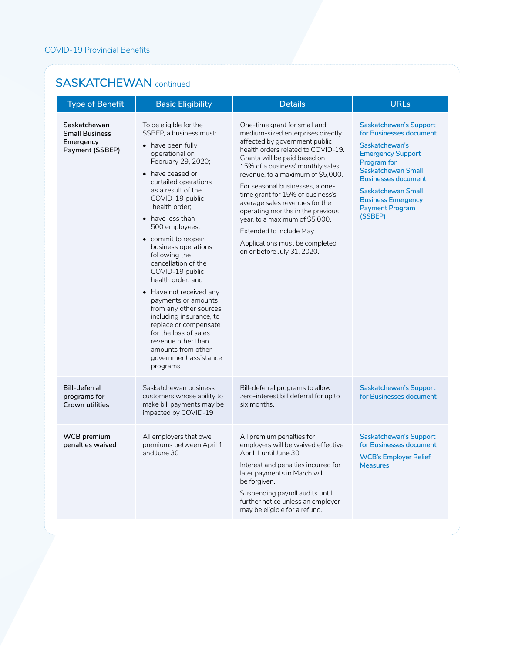#### **SASKATCHEWAN** continued

| <b>Type of Benefit</b>                                                | <b>Basic Eligibility</b>                                                                                                                                                                                                                                                                                                                                                                                                                                                                                                                                                                                                           | <b>Details</b>                                                                                                                                                                                                                                                                                                                                                                                                                                                                                                               | <b>URLs</b>                                                                                                                                                                                                                                                       |
|-----------------------------------------------------------------------|------------------------------------------------------------------------------------------------------------------------------------------------------------------------------------------------------------------------------------------------------------------------------------------------------------------------------------------------------------------------------------------------------------------------------------------------------------------------------------------------------------------------------------------------------------------------------------------------------------------------------------|------------------------------------------------------------------------------------------------------------------------------------------------------------------------------------------------------------------------------------------------------------------------------------------------------------------------------------------------------------------------------------------------------------------------------------------------------------------------------------------------------------------------------|-------------------------------------------------------------------------------------------------------------------------------------------------------------------------------------------------------------------------------------------------------------------|
| Saskatchewan<br><b>Small Business</b><br>Emergency<br>Payment (SSBEP) | To be eligible for the<br>SSBEP, a business must:<br>• have been fully<br>operational on<br>February 29, 2020;<br>• have ceased or<br>curtailed operations<br>as a result of the<br>COVID-19 public<br>health order:<br>• have less than<br>500 employees;<br>• commit to reopen<br>business operations<br>following the<br>cancellation of the<br>COVID-19 public<br>health order; and<br>• Have not received any<br>payments or amounts<br>from any other sources,<br>including insurance, to<br>replace or compensate<br>for the loss of sales<br>revenue other than<br>amounts from other<br>government assistance<br>programs | One-time grant for small and<br>medium-sized enterprises directly<br>affected by government public<br>health orders related to COVID-19.<br>Grants will be paid based on<br>15% of a business' monthly sales<br>revenue, to a maximum of \$5,000.<br>For seasonal businesses, a one-<br>time grant for 15% of business's<br>average sales revenues for the<br>operating months in the previous<br>year, to a maximum of \$5,000.<br>Extended to include May<br>Applications must be completed<br>on or before July 31, 2020. | <b>Saskatchewan's Support</b><br>for Businesses document<br>Saskatchewan's<br><b>Emergency Support</b><br>Program for<br>Saskatchewan Small<br><b>Businesses document</b><br>Saskatchewan Small<br><b>Business Emergency</b><br><b>Payment Program</b><br>(SSBEP) |
| <b>Bill-deferral</b><br>programs for<br>Crown utilities               | Saskatchewan business<br>customers whose ability to<br>make bill payments may be<br>impacted by COVID-19                                                                                                                                                                                                                                                                                                                                                                                                                                                                                                                           | Bill-deferral programs to allow<br>zero-interest bill deferral for up to<br>six months.                                                                                                                                                                                                                                                                                                                                                                                                                                      | <b>Saskatchewan's Support</b><br>for Businesses document                                                                                                                                                                                                          |
| <b>WCB</b> premium<br>penalties waived                                | All employers that owe<br>premiums between April 1<br>and June 30                                                                                                                                                                                                                                                                                                                                                                                                                                                                                                                                                                  | All premium penalties for<br>employers will be waived effective<br>April 1 until June 30.<br>Interest and penalties incurred for<br>later payments in March will<br>be forgiven.<br>Suspending payroll audits until<br>further notice unless an employer<br>may be eligible for a refund.                                                                                                                                                                                                                                    | <b>Saskatchewan's Support</b><br>for Businesses document<br><b>WCB's Employer Relief</b><br><b>Measures</b>                                                                                                                                                       |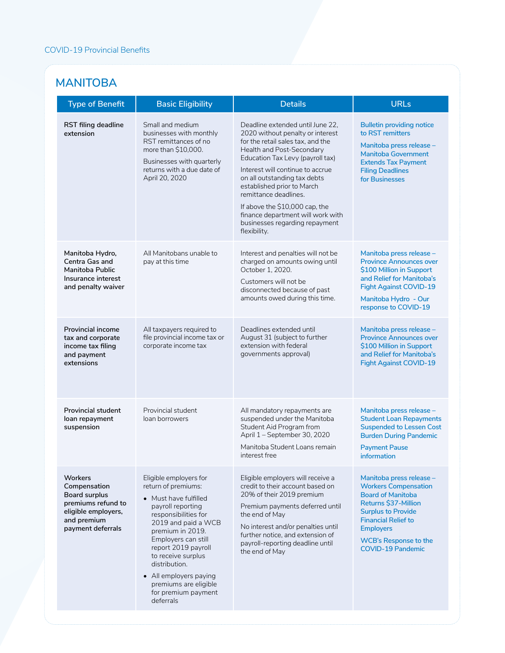#### **MANITOBA**

| <b>Type of Benefit</b>                                                                                                                  | <b>Basic Eligibility</b>                                                                                                                                                                                                                                                                                                                   | <b>Details</b>                                                                                                                                                                                                                                                                                                                                                                                                                 | <b>URLs</b>                                                                                                                                                                                                                                            |
|-----------------------------------------------------------------------------------------------------------------------------------------|--------------------------------------------------------------------------------------------------------------------------------------------------------------------------------------------------------------------------------------------------------------------------------------------------------------------------------------------|--------------------------------------------------------------------------------------------------------------------------------------------------------------------------------------------------------------------------------------------------------------------------------------------------------------------------------------------------------------------------------------------------------------------------------|--------------------------------------------------------------------------------------------------------------------------------------------------------------------------------------------------------------------------------------------------------|
| RST filing deadline<br>extension                                                                                                        | Small and medium<br>businesses with monthly<br>RST remittances of no<br>more than \$10,000.<br>Businesses with quarterly<br>returns with a due date of<br>April 20, 2020                                                                                                                                                                   | Deadline extended until June 22,<br>2020 without penalty or interest<br>for the retail sales tax, and the<br>Health and Post-Secondary<br>Education Tax Levy (payroll tax)<br>Interest will continue to accrue<br>on all outstanding tax debts<br>established prior to March<br>remittance deadlines.<br>If above the \$10,000 cap, the<br>finance department will work with<br>businesses regarding repayment<br>flexibility. | <b>Bulletin providing notice</b><br>to RST remitters<br>Manitoba press release –<br><b>Manitoba Government</b><br><b>Extends Tax Payment</b><br><b>Filing Deadlines</b><br>for Businesses                                                              |
| Manitoba Hydro,<br>Centra Gas and<br>Manitoba Public<br>Insurance interest<br>and penalty waiver                                        | All Manitobans unable to<br>pay at this time                                                                                                                                                                                                                                                                                               | Interest and penalties will not be<br>charged on amounts owing until<br>October 1, 2020.<br>Customers will not be<br>disconnected because of past<br>amounts owed during this time.                                                                                                                                                                                                                                            | Manitoba press release -<br><b>Province Announces over</b><br>\$100 Million in Support<br>and Relief for Manitoba's<br><b>Fight Against COVID-19</b><br>Manitoba Hydro - Our<br>response to COVID-19                                                   |
| <b>Provincial income</b><br>tax and corporate<br>income tax filing<br>and payment<br>extensions                                         | All taxpayers required to<br>file provincial income tax or<br>corporate income tax                                                                                                                                                                                                                                                         | Deadlines extended until<br>August 31 (subject to further<br>extension with federal<br>governments approval)                                                                                                                                                                                                                                                                                                                   | Manitoba press release -<br><b>Province Announces over</b><br>\$100 Million in Support<br>and Relief for Manitoba's<br><b>Fight Against COVID-19</b>                                                                                                   |
| <b>Provincial student</b><br>loan repayment<br>suspension                                                                               | Provincial student<br>loan borrowers                                                                                                                                                                                                                                                                                                       | All mandatory repayments are<br>suspended under the Manitoba<br>Student Aid Program from<br>April 1 - September 30, 2020<br>Manitoba Student Loans remain<br>interest free                                                                                                                                                                                                                                                     | Manitoba press release -<br><b>Student Loan Repayments</b><br><b>Suspended to Lessen Cost</b><br><b>Burden During Pandemic</b><br><b>Payment Pause</b><br>information                                                                                  |
| <b>Workers</b><br>Compensation<br><b>Board surplus</b><br>premiums refund to<br>eligible employers,<br>and premium<br>payment deferrals | Eligible employers for<br>return of premiums:<br>• Must have fulfilled<br>payroll reporting<br>responsibilities for<br>2019 and paid a WCB<br>premium in 2019.<br>Employers can still<br>report 2019 payroll<br>to receive surplus<br>distribution.<br>• All employers paying<br>premiums are eligible<br>for premium payment<br>deferrals | Eligible employers will receive a<br>credit to their account based on<br>20% of their 2019 premium<br>Premium payments deferred until<br>the end of May<br>No interest and/or penalties until<br>further notice, and extension of<br>payroll-reporting deadline until<br>the end of May                                                                                                                                        | Manitoba press release -<br><b>Workers Compensation</b><br><b>Board of Manitoba</b><br>Returns \$37-Million<br><b>Surplus to Provide</b><br><b>Financial Relief to</b><br><b>Employers</b><br><b>WCB's Response to the</b><br><b>COVID-19 Pandemic</b> |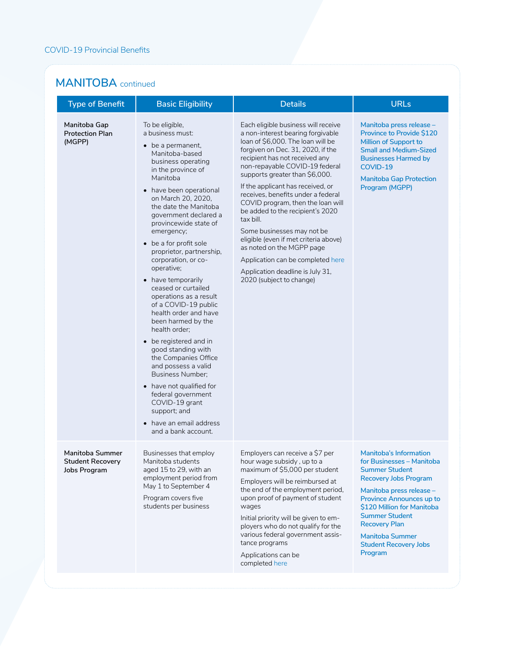#### **MANITOBA** continued

| <b>Type of Benefit</b>                                     | <b>Basic Eligibility</b>                                                                                                                                                                                                                                                                                                                                                                                                                                                                                                                                                                                                                                                                                                                                                                                                     | <b>Details</b>                                                                                                                                                                                                                                                                                                                                                                                                                                                                                                                                                                                                                     | <b>URLs</b>                                                                                                                                                                                                                                                                                                                     |
|------------------------------------------------------------|------------------------------------------------------------------------------------------------------------------------------------------------------------------------------------------------------------------------------------------------------------------------------------------------------------------------------------------------------------------------------------------------------------------------------------------------------------------------------------------------------------------------------------------------------------------------------------------------------------------------------------------------------------------------------------------------------------------------------------------------------------------------------------------------------------------------------|------------------------------------------------------------------------------------------------------------------------------------------------------------------------------------------------------------------------------------------------------------------------------------------------------------------------------------------------------------------------------------------------------------------------------------------------------------------------------------------------------------------------------------------------------------------------------------------------------------------------------------|---------------------------------------------------------------------------------------------------------------------------------------------------------------------------------------------------------------------------------------------------------------------------------------------------------------------------------|
| Manitoba Gap<br><b>Protection Plan</b><br>(MGPP)           | To be eligible,<br>a business must:<br>• be a permanent,<br>Manitoba-based<br>business operating<br>in the province of<br>Manitoba<br>have been operational<br>$\bullet$<br>on March 20, 2020,<br>the date the Manitoba<br>government declared a<br>provincewide state of<br>emergency;<br>• be a for profit sole<br>proprietor, partnership,<br>corporation, or co-<br>operative;<br>• have temporarily<br>ceased or curtailed<br>operations as a result<br>of a COVID-19 public<br>health order and have<br>been harmed by the<br>health order:<br>• be registered and in<br>good standing with<br>the Companies Office<br>and possess a valid<br><b>Business Number;</b><br>have not qualified for<br>$\bullet$<br>federal government<br>COVID-19 grant<br>support; and<br>• have an email address<br>and a bank account. | Each eligible business will receive<br>a non-interest bearing forgivable<br>loan of \$6,000. The loan will be<br>forgiven on Dec. 31, 2020, if the<br>recipient has not received any<br>non-repayable COVID-19 federal<br>supports greater than \$6,000.<br>If the applicant has received, or<br>receives, benefits under a federal<br>COVID program, then the loan will<br>be added to the recipient's 2020<br>tax bill.<br>Some businesses may not be<br>eligible (even if met criteria above)<br>as noted on the MGPP page<br>Application can be completed here<br>Application deadline is July 31,<br>2020 (subject to change) | Manitoba press release -<br><b>Province to Provide \$120</b><br><b>Million of Support to</b><br><b>Small and Medium-Sized</b><br><b>Businesses Harmed by</b><br>COVID-19<br><b>Manitoba Gap Protection</b><br>Program (MGPP)                                                                                                    |
| Manitoba Summer<br><b>Student Recovery</b><br>Jobs Program | Businesses that employ<br>Manitoba students<br>aged 15 to 29, with an<br>employment period from<br>May 1 to September 4<br>Program covers five<br>students per business                                                                                                                                                                                                                                                                                                                                                                                                                                                                                                                                                                                                                                                      | Employers can receive a \$7 per<br>hour wage subsidy, up to a<br>maximum of \$5,000 per student<br>Employers will be reimbursed at<br>the end of the employment period,<br>upon proof of payment of student<br>wages<br>Initial priority will be given to em-<br>ployers who do not qualify for the<br>various federal government assis-<br>tance programs<br>Applications can be<br>completed here                                                                                                                                                                                                                                | <b>Manitoba's Information</b><br>for Businesses – Manitoba<br><b>Summer Student</b><br><b>Recovery Jobs Program</b><br>Manitoba press release -<br>Province Announces up to<br>\$120 Million for Manitoba<br><b>Summer Student</b><br><b>Recovery Plan</b><br><b>Manitoba Summer</b><br><b>Student Recovery Jobs</b><br>Program |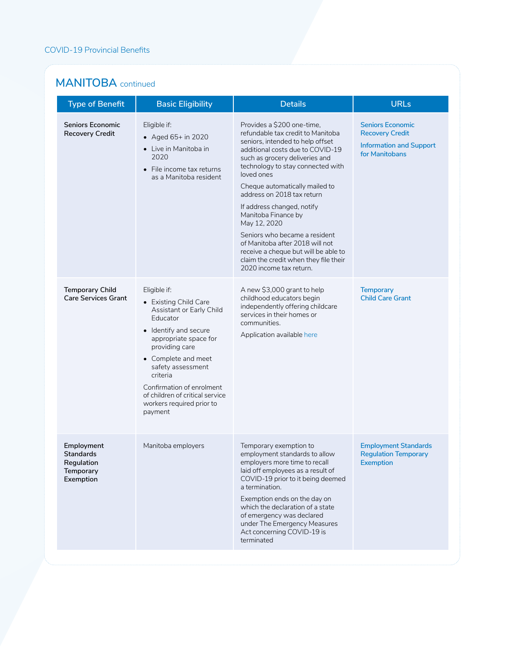#### **MANITOBA** continued

| <b>Type of Benefit</b>                                                 | <b>Basic Eligibility</b>                                                                                                                                                                                                                                                                                          | <b>Details</b>                                                                                                                                                                                                                                                                                                                                                                                                                                                                                                                                    | <b>URLs</b>                                                                                           |
|------------------------------------------------------------------------|-------------------------------------------------------------------------------------------------------------------------------------------------------------------------------------------------------------------------------------------------------------------------------------------------------------------|---------------------------------------------------------------------------------------------------------------------------------------------------------------------------------------------------------------------------------------------------------------------------------------------------------------------------------------------------------------------------------------------------------------------------------------------------------------------------------------------------------------------------------------------------|-------------------------------------------------------------------------------------------------------|
| Seniors Economic<br><b>Recovery Credit</b>                             | Eligible if:<br>• Aged $65+$ in 2020<br>• Live in Manitoba in<br>2020<br>File income tax returns<br>as a Manitoba resident                                                                                                                                                                                        | Provides a \$200 one-time,<br>refundable tax credit to Manitoba<br>seniors, intended to help offset<br>additional costs due to COVID-19<br>such as grocery deliveries and<br>technology to stay connected with<br>loved ones<br>Cheque automatically mailed to<br>address on 2018 tax return<br>If address changed, notify<br>Manitoba Finance by<br>May 12, 2020<br>Seniors who became a resident<br>of Manitoba after 2018 will not<br>receive a cheque but will be able to<br>claim the credit when they file their<br>2020 income tax return. | <b>Seniors Economic</b><br><b>Recovery Credit</b><br><b>Information and Support</b><br>for Manitobans |
| <b>Temporary Child</b><br><b>Care Services Grant</b>                   | Eligible if:<br>• Existing Child Care<br>Assistant or Early Child<br>Educator<br>• Identify and secure<br>appropriate space for<br>providing care<br>• Complete and meet<br>safety assessment<br>criteria<br>Confirmation of enrolment<br>of children of critical service<br>workers required prior to<br>payment | A new \$3,000 grant to help<br>childhood educators begin<br>independently offering childcare<br>services in their homes or<br>communities.<br>Application available here                                                                                                                                                                                                                                                                                                                                                                          | <b>Temporary</b><br><b>Child Care Grant</b>                                                           |
| Employment<br><b>Standards</b><br>Regulation<br>Temporary<br>Exemption | Manitoba employers                                                                                                                                                                                                                                                                                                | Temporary exemption to<br>employment standards to allow<br>employers more time to recall<br>laid off employees as a result of<br>COVID-19 prior to it being deemed<br>a termination.<br>Exemption ends on the day on<br>which the declaration of a state<br>of emergency was declared<br>under The Emergency Measures<br>Act concerning COVID-19 is<br>terminated                                                                                                                                                                                 | <b>Employment Standards</b><br><b>Regulation Temporary</b><br>Exemption                               |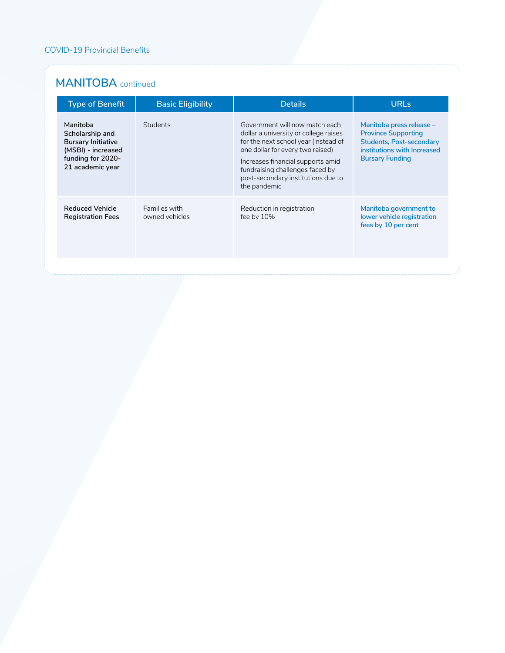#### **MANITOBA** continued

| <b>Type of Benefit</b>                                                                                                  | <b>Basic Eligibility</b>        | <b>Details</b>                                                                                                                                                                                                                                                                    | <b>URLs</b>                                                                                                                                        |
|-------------------------------------------------------------------------------------------------------------------------|---------------------------------|-----------------------------------------------------------------------------------------------------------------------------------------------------------------------------------------------------------------------------------------------------------------------------------|----------------------------------------------------------------------------------------------------------------------------------------------------|
| Manitoba<br>Scholarship and<br><b>Bursary Initiative</b><br>(MSBI) - increased<br>funding for 2020-<br>21 academic year | Students                        | Government will now match each<br>dollar a university or college raises<br>for the next school year (instead of<br>one dollar for every two raised)<br>Increases financial supports amid<br>fundraising challenges faced by<br>post-secondary institutions due to<br>the pandemic | Manitoba press release -<br><b>Province Supporting</b><br><b>Students, Post-secondary</b><br>institutions with Increased<br><b>Bursary Funding</b> |
| <b>Reduced Vehicle</b><br><b>Registration Fees</b>                                                                      | Families with<br>owned vehicles | Reduction in registration<br>fee by $10\%$                                                                                                                                                                                                                                        | Manitoba government to<br>lower vehicle registration<br>fees by 10 per cent                                                                        |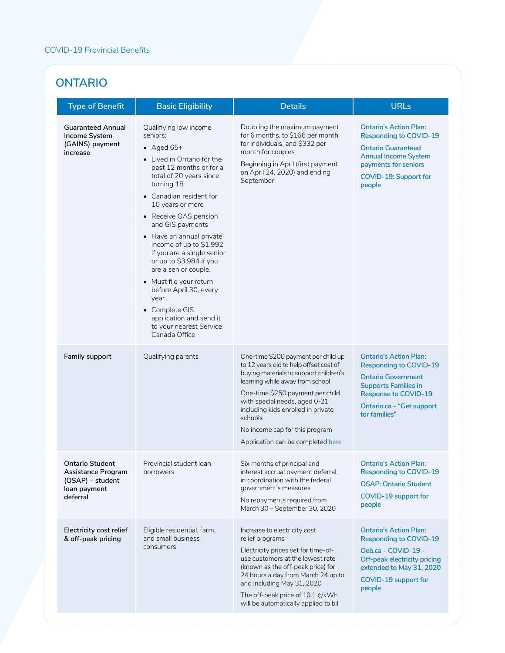#### **ONTARIO**

| <b>Type of Benefit</b>                                                                              | <b>Basic Eligibility</b>                                                                                                                                                                                                                                                                                                                                                                                                                                                                                                                       | <b>Details</b>                                                                                                                                                                                                                                                                                                                                          | <b>URLs</b>                                                                                                                                                                                                    |
|-----------------------------------------------------------------------------------------------------|------------------------------------------------------------------------------------------------------------------------------------------------------------------------------------------------------------------------------------------------------------------------------------------------------------------------------------------------------------------------------------------------------------------------------------------------------------------------------------------------------------------------------------------------|---------------------------------------------------------------------------------------------------------------------------------------------------------------------------------------------------------------------------------------------------------------------------------------------------------------------------------------------------------|----------------------------------------------------------------------------------------------------------------------------------------------------------------------------------------------------------------|
| <b>Guaranteed Annual</b><br>Income System<br>(GAINS) payment<br>increase                            | Qualifiying low income<br>seniors:<br>• Aged $65+$<br>• Lived in Ontario for the<br>past 12 months or for a<br>total of 20 years since<br>turning 18<br>• Canadian resident for<br>10 years or more<br>• Receive OAS pension<br>and GIS payments<br>• Have an annual private<br>income of up to \$1,992<br>if you are a single senior<br>or up to \$3,984 if you<br>are a senior couple.<br>• Must file your return<br>before April 30, every<br>year<br>• Complete GIS<br>application and send it<br>to your nearest Service<br>Canada Office | Doubling the maximum payment<br>for 6 months, to \$166 per month<br>for individuals, and \$332 per<br>month for couples<br>Beginning in April (first payment<br>on April 24, 2020) and ending<br>September                                                                                                                                              | <b>Ontario's Action Plan:</b><br><b>Responding to COVID-19</b><br><b>Ontario Guaranteed</b><br><b>Annual Income System</b><br>payments for seniors<br><b>COVID-19: Support for</b><br>people                   |
| <b>Family support</b>                                                                               | Qualifying parents                                                                                                                                                                                                                                                                                                                                                                                                                                                                                                                             | One-time \$200 payment per child up<br>to 12 years old to help offset cost of<br>buying materials to support children's<br>learning while away from school<br>One-time \$250 payment per child<br>with special needs, aged 0-21<br>including kids enrolled in private<br>schools<br>No income cap for this program<br>Application can be completed here | <b>Ontario's Action Plan:</b><br><b>Responding to COVID-19</b><br><b>Ontario Government</b><br><b>Supports Families in</b><br><b>Response to COVID-19</b><br><b>Ontario.ca - "Get support</b><br>for families" |
| <b>Ontario Student</b><br><b>Assistance Program</b><br>(OSAP) – student<br>loan payment<br>deferral | Provincial student loan<br>borrowers                                                                                                                                                                                                                                                                                                                                                                                                                                                                                                           | Six months of principal and<br>interest accrual payment deferral,<br>in coordination with the federal<br>government's measures<br>No repayments required from<br>March 30 - September 30, 2020                                                                                                                                                          | <b>Ontario's Action Plan:</b><br><b>Responding to COVID-19</b><br><b>OSAP: Ontario Student</b><br>COVID-19 support for<br>people                                                                               |
| Electricity cost relief<br>& off-peak pricing                                                       | Eligible residential, farm,<br>and small business<br>consumers                                                                                                                                                                                                                                                                                                                                                                                                                                                                                 | Increase to electricity cost<br>relief programs<br>Electricity prices set for time-of-<br>use customers at the lowest rate<br>(known as the off-peak price) for<br>24 hours a day from March 24 up to<br>and including May 31, 2020<br>The off-peak price of 10.1 ¢/kWh<br>will be automatically applied to bill                                        | <b>Ontario's Action Plan:</b><br><b>Responding to COVID-19</b><br>Oeb.ca - COVID-19 -<br>Off-peak electricity pricing<br>extended to May 31, 2020<br>COVID-19 support for<br>people                            |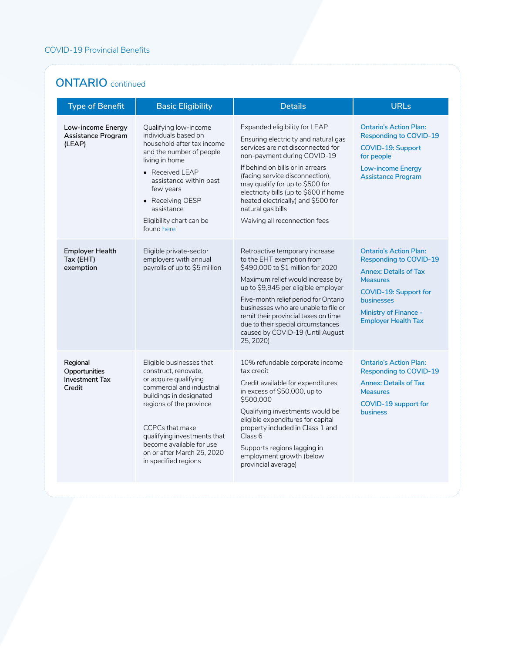#### **ONTARIO** continued

| <b>Type of Benefit</b>                                       | <b>Basic Eligibility</b>                                                                                                                                                                                                                                                                                | <b>Details</b>                                                                                                                                                                                                                                                                                                                                                                             | <b>URLs</b>                                                                                                                                                                                                                          |
|--------------------------------------------------------------|---------------------------------------------------------------------------------------------------------------------------------------------------------------------------------------------------------------------------------------------------------------------------------------------------------|--------------------------------------------------------------------------------------------------------------------------------------------------------------------------------------------------------------------------------------------------------------------------------------------------------------------------------------------------------------------------------------------|--------------------------------------------------------------------------------------------------------------------------------------------------------------------------------------------------------------------------------------|
| Low-income Energy<br>Assistance Program<br>(LEAP)            | Qualifying low-income<br>individuals based on<br>household after tax income<br>and the number of people<br>living in home<br>• Received LEAP<br>assistance within past<br>few years<br>• Receiving OESP<br>assistance<br>Eligibility chart can be<br>found here                                         | Expanded eligibility for LEAP<br>Ensuring electricity and natural gas<br>services are not disconnected for<br>non-payment during COVID-19<br>If behind on bills or in arrears<br>(facing service disconnection),<br>may qualify for up to \$500 for<br>electricity bills (up to \$600 if home<br>heated electrically) and \$500 for<br>natural gas bills<br>Waiving all reconnection fees  | <b>Ontario's Action Plan:</b><br><b>Responding to COVID-19</b><br><b>COVID-19: Support</b><br>for people<br><b>Low-income Energy</b><br><b>Assistance Program</b>                                                                    |
| <b>Employer Health</b><br>Tax (EHT)<br>exemption             | Eligible private-sector<br>employers with annual<br>payrolls of up to \$5 million                                                                                                                                                                                                                       | Retroactive temporary increase<br>to the EHT exemption from<br>\$490,000 to \$1 million for 2020<br>Maximum relief would increase by<br>up to \$9,945 per eligible employer<br>Five-month relief period for Ontario<br>businesses who are unable to file or<br>remit their provincial taxes on time<br>due to their special circumstances<br>caused by COVID-19 (Until August<br>25, 2020) | <b>Ontario's Action Plan:</b><br><b>Responding to COVID-19</b><br><b>Annex: Details of Tax</b><br><b>Measures</b><br><b>COVID-19: Support for</b><br><b>businesses</b><br><b>Ministry of Finance -</b><br><b>Employer Health Tax</b> |
| Regional<br>Opportunities<br><b>Investment Tax</b><br>Credit | Eligible businesses that<br>construct, renovate,<br>or acquire qualifying<br>commercial and industrial<br>buildings in designated<br>regions of the province<br><b>CCPCs that make</b><br>qualifying investments that<br>become available for use<br>on or after March 25, 2020<br>in specified regions | 10% refundable corporate income<br>tax credit<br>Credit available for expenditures<br>in excess of \$50,000, up to<br>\$500,000<br>Qualifying investments would be<br>eligible expenditures for capital<br>property included in Class 1 and<br>Class 6<br>Supports regions lagging in<br>employment growth (below<br>provincial average)                                                   | <b>Ontario's Action Plan:</b><br><b>Responding to COVID-19</b><br><b>Annex: Details of Tax</b><br><b>Measures</b><br>COVID-19 support for<br>business                                                                                |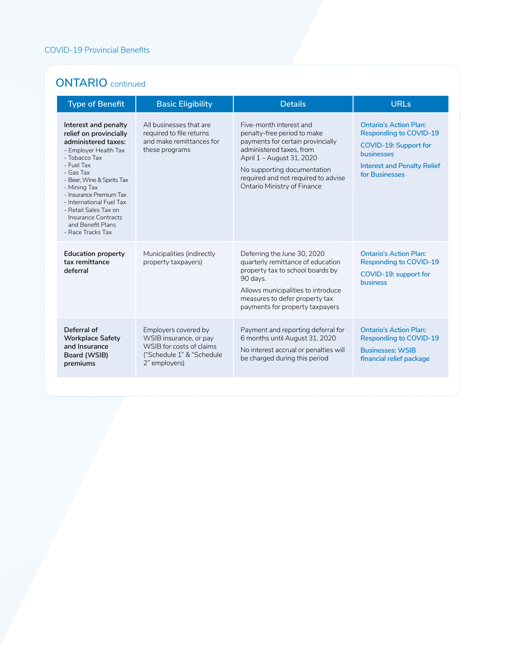#### **ONTARIO** continued

| <b>Type of Benefit</b>                                                                                                                                                                                                                                                                                                                           | <b>Basic Eligibility</b>                                                                                                 | <b>Details</b>                                                                                                                                                                                                                                            | <b>URLs</b>                                                                                                                                                   |
|--------------------------------------------------------------------------------------------------------------------------------------------------------------------------------------------------------------------------------------------------------------------------------------------------------------------------------------------------|--------------------------------------------------------------------------------------------------------------------------|-----------------------------------------------------------------------------------------------------------------------------------------------------------------------------------------------------------------------------------------------------------|---------------------------------------------------------------------------------------------------------------------------------------------------------------|
| Interest and penalty<br>relief on provincially<br>administered taxes:<br>- Employer Health Tax<br>- Tobacco Tax<br>- Fuel Tax<br>- Gas Tax<br>- Beer, Wine & Spirits Tax<br>- Mining Tax<br>- Insurance Premium Tax<br>- International Fuel Tax<br>- Retail Sales Tax on<br><b>Insurance Contracts</b><br>and Benefit Plans<br>- Race Tracks Tax | All businesses that are<br>required to file returns<br>and make remittances for<br>these programs                        | Five-month interest and<br>penalty-free period to make<br>payments for certain provincially<br>administered taxes, from<br>April 1 - August 31, 2020<br>No supporting documentation<br>required and not required to advise<br>Ontario Ministry of Finance | <b>Ontario's Action Plan:</b><br><b>Responding to COVID-19</b><br>COVID-19: Support for<br>businesses<br><b>Interest and Penalty Relief</b><br>for Businesses |
| <b>Education property</b><br>tax remittance<br>deferral                                                                                                                                                                                                                                                                                          | Municipalities (indirectly<br>property taxpayers)                                                                        | Deferring the June 30, 2020<br>quarterly remittance of education<br>property tax to school boards by<br>90 days.<br>Allows municipalities to introduce<br>measures to defer property tax<br>payments for property taxpayers                               | <b>Ontario's Action Plan:</b><br><b>Responding to COVID-19</b><br>COVID-19: support for<br><b>business</b>                                                    |
| Deferral of<br><b>Workplace Safety</b><br>and Insurance<br>Board (WSIB)<br>premiums                                                                                                                                                                                                                                                              | Employers covered by<br>WSIB insurance, or pay<br>WSIB for costs of claims<br>("Schedule 1" & "Schedule<br>2" employers) | Payment and reporting deferral for<br>6 months until August 31, 2020<br>No interest accrual or penalties will<br>be charged during this period                                                                                                            | <b>Ontario's Action Plan:</b><br><b>Responding to COVID-19</b><br><b>Businesses: WSIB</b><br>financial relief package                                         |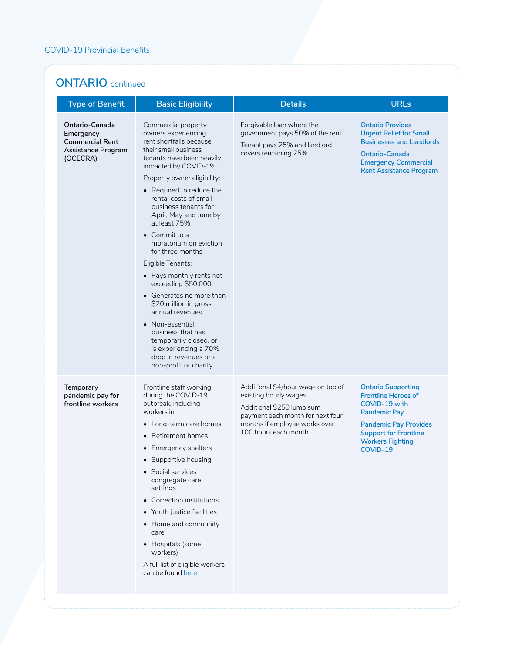#### **ONTARIO** continued

| <b>Type of Benefit</b>                                                                  | <b>Basic Eligibility</b>                                                                                                                                                                                                                                                                                                                                                                                                                                                                                                                                                                                                                                                  | <b>Details</b>                                                                                                                                                                        | <b>URLs</b>                                                                                                                                                                                            |
|-----------------------------------------------------------------------------------------|---------------------------------------------------------------------------------------------------------------------------------------------------------------------------------------------------------------------------------------------------------------------------------------------------------------------------------------------------------------------------------------------------------------------------------------------------------------------------------------------------------------------------------------------------------------------------------------------------------------------------------------------------------------------------|---------------------------------------------------------------------------------------------------------------------------------------------------------------------------------------|--------------------------------------------------------------------------------------------------------------------------------------------------------------------------------------------------------|
| Ontario-Canada<br>Emergency<br><b>Commercial Rent</b><br>Assistance Program<br>(OCECRA) | Commercial property<br>owners experiencing<br>rent shortfalls because<br>their small business<br>tenants have been heavily<br>impacted by COVID-19<br>Property owner eligibility:<br>• Required to reduce the<br>rental costs of small<br>business tenants for<br>April, May and June by<br>at least 75%<br>$\bullet$ Commit to a<br>moratorium on eviction<br>for three months<br>Eligible Tenants;<br>• Pays monthly rents not<br>exceeding \$50,000<br>• Generates no more than<br>\$20 million in gross<br>annual revenues<br>Non-essential<br>business that has<br>temporarily closed, or<br>is experiencing a 70%<br>drop in revenues or a<br>non-profit or charity | Forgivable loan where the<br>government pays 50% of the rent<br>Tenant pays 25% and landlord<br>covers remaining 25%                                                                  | <b>Ontario Provides</b><br><b>Urgent Relief for Small</b><br><b>Businesses and Landlords</b><br>Ontario-Canada<br><b>Emergency Commercial</b><br><b>Rent Assistance Program</b>                        |
| <b>Temporary</b><br>pandemic pay for<br>frontline workers                               | Frontline staff working<br>during the COVID-19<br>outbreak, including<br>workers in:<br>• Long-term care homes<br>• Retirement homes<br>• Emergency shelters<br>• Supportive housing<br>• Social services<br>congregate care<br>settings<br>• Correction institutions<br>• Youth justice facilities<br>• Home and community<br>care<br>• Hospitals (some<br>workers)<br>A full list of eligible workers<br>can be found here                                                                                                                                                                                                                                              | Additional \$4/hour wage on top of<br>existing hourly wages<br>Additional \$250 lump sum<br>payment each month for next four<br>months if employee works over<br>100 hours each month | <b>Ontario Supporting</b><br><b>Frontline Heroes of</b><br>COVID-19 with<br><b>Pandemic Pay</b><br><b>Pandemic Pay Provides</b><br><b>Support for Frontline</b><br><b>Workers Fighting</b><br>COVID-19 |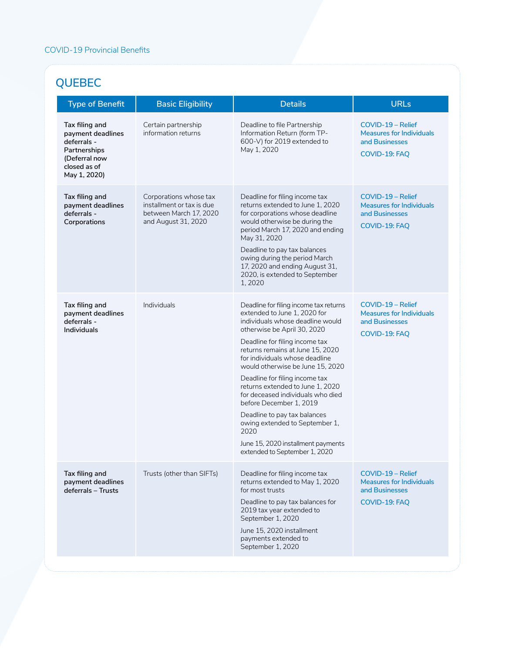## **QUEBEC**

| <b>Type of Benefit</b>                                                                                              | <b>Basic Eligibility</b>                                                                             | <b>Details</b>                                                                                                                                                                                                                                                                                                                                                                                                                                                                                                                                                               | <b>URLs</b>                                                                             |
|---------------------------------------------------------------------------------------------------------------------|------------------------------------------------------------------------------------------------------|------------------------------------------------------------------------------------------------------------------------------------------------------------------------------------------------------------------------------------------------------------------------------------------------------------------------------------------------------------------------------------------------------------------------------------------------------------------------------------------------------------------------------------------------------------------------------|-----------------------------------------------------------------------------------------|
| Tax filing and<br>payment deadlines<br>deferrals -<br>Partnerships<br>(Deferral now<br>closed as of<br>May 1, 2020) | Certain partnership<br>information returns                                                           | Deadline to file Partnership<br>Information Return (form TP-<br>600-V) for 2019 extended to<br>May 1, 2020                                                                                                                                                                                                                                                                                                                                                                                                                                                                   | COVID-19 - Relief<br><b>Measures for Individuals</b><br>and Businesses<br>COVID-19: FAQ |
| Tax filing and<br>payment deadlines<br>deferrals -<br>Corporations                                                  | Corporations whose tax<br>installment or tax is due<br>between March 17, 2020<br>and August 31, 2020 | Deadline for filing income tax<br>returns extended to June 1, 2020<br>for corporations whose deadline<br>would otherwise be during the<br>period March 17, 2020 and ending<br>May 31, 2020<br>Deadline to pay tax balances<br>owing during the period March<br>17, 2020 and ending August 31,<br>2020, is extended to September<br>1,2020                                                                                                                                                                                                                                    | COVID-19 - Relief<br><b>Measures for Individuals</b><br>and Businesses<br>COVID-19: FAQ |
| Tax filing and<br>payment deadlines<br>deferrals -<br><b>Individuals</b>                                            | Individuals                                                                                          | Deadline for filing income tax returns<br>extended to June 1, 2020 for<br>individuals whose deadline would<br>otherwise be April 30, 2020<br>Deadline for filing income tax<br>returns remains at June 15, 2020<br>for individuals whose deadline<br>would otherwise be June 15, 2020<br>Deadline for filing income tax<br>returns extended to June 1, 2020<br>for deceased individuals who died<br>before December 1, 2019<br>Deadline to pay tax balances<br>owing extended to September 1,<br>2020<br>June 15, 2020 installment payments<br>extended to September 1, 2020 | COVID-19 - Relief<br><b>Measures for Individuals</b><br>and Businesses<br>COVID-19: FAQ |
| Tax filing and<br>payment deadlines<br>deferrals - Trusts                                                           | Trusts (other than SIFTs)                                                                            | Deadline for filing income tax<br>returns extended to May 1, 2020<br>for most trusts<br>Deadline to pay tax balances for<br>2019 tax year extended to<br>September 1, 2020<br>June 15, 2020 installment<br>payments extended to<br>September 1, 2020                                                                                                                                                                                                                                                                                                                         | COVID-19 - Relief<br><b>Measures for Individuals</b><br>and Businesses<br>COVID-19: FAQ |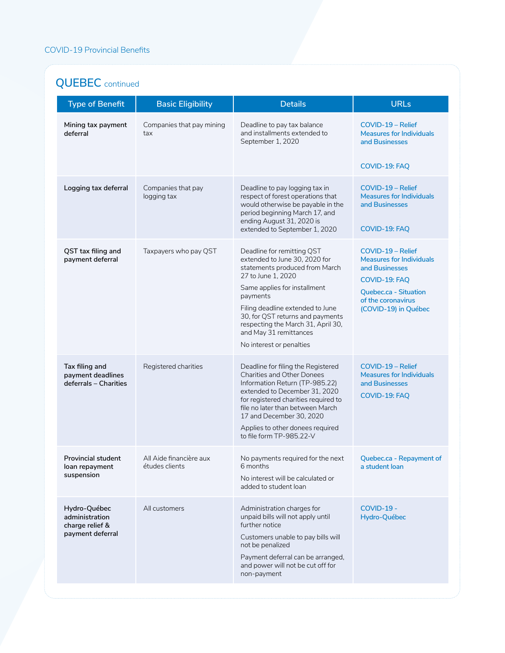## **QUEBEC** continued

| <b>Type of Benefit</b>                                                | <b>Basic Eligibility</b>                  | <b>Details</b>                                                                                                                                                                                                                                                                                                                      | <b>URLs</b>                                                                                                                                                    |
|-----------------------------------------------------------------------|-------------------------------------------|-------------------------------------------------------------------------------------------------------------------------------------------------------------------------------------------------------------------------------------------------------------------------------------------------------------------------------------|----------------------------------------------------------------------------------------------------------------------------------------------------------------|
| Mining tax payment<br>deferral                                        | Companies that pay mining<br>tax          | Deadline to pay tax balance<br>and installments extended to<br>September 1, 2020                                                                                                                                                                                                                                                    | COVID-19 - Relief<br><b>Measures for Individuals</b><br>and Businesses<br>COVID-19: FAQ                                                                        |
| Logging tax deferral                                                  | Companies that pay<br>logging tax         | Deadline to pay logging tax in<br>respect of forest operations that<br>would otherwise be payable in the<br>period beginning March 17, and<br>ending August 31, 2020 is<br>extended to September 1, 2020                                                                                                                            | COVID-19 - Relief<br><b>Measures for Individuals</b><br>and Businesses<br>COVID-19: FAQ                                                                        |
| QST tax filing and<br>payment deferral                                | Taxpayers who pay QST                     | Deadline for remitting QST<br>extended to June 30, 2020 for<br>statements produced from March<br>27 to June 1, 2020<br>Same applies for installment<br>payments<br>Filing deadline extended to June<br>30, for QST returns and payments<br>respecting the March 31, April 30,<br>and May 31 remittances<br>No interest or penalties | COVID-19 - Relief<br><b>Measures for Individuals</b><br>and Businesses<br>COVID-19: FAQ<br>Quebec.ca - Situation<br>of the coronavirus<br>(COVID-19) in Québec |
| Tax filing and<br>payment deadlines<br>deferrals - Charities          | Registered charities                      | Deadline for filing the Registered<br><b>Charities and Other Donees</b><br>Information Return (TP-985.22)<br>extended to December 31, 2020<br>for registered charities required to<br>file no later than between March<br>17 and December 30, 2020<br>Applies to other donees required<br>to file form TP-985.22-V                  | COVID-19 - Relief<br><b>Measures for Individuals</b><br>and Businesses<br>COVID-19: FAQ                                                                        |
| <b>Provincial student</b><br>loan repayment<br>suspension             | All Aide financière aux<br>études clients | No payments required for the next<br>6 months<br>No interest will be calculated or<br>added to student loan                                                                                                                                                                                                                         | Quebec.ca - Repayment of<br>a student loan                                                                                                                     |
| Hydro-Québec<br>administration<br>charge relief &<br>payment deferral | All customers                             | Administration charges for<br>unpaid bills will not apply until<br>further notice<br>Customers unable to pay bills will<br>not be penalized<br>Payment deferral can be arranged,<br>and power will not be cut off for<br>non-payment                                                                                                | <b>COVID-19 -</b><br>Hydro-Québec                                                                                                                              |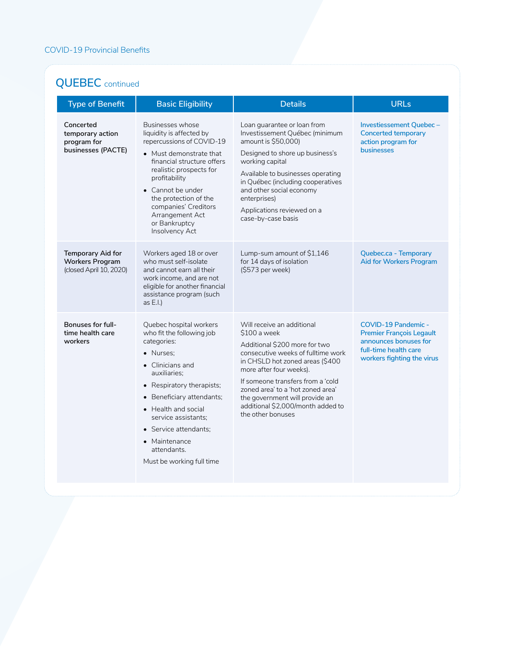# **QUEBEC** continued

| <b>Type of Benefit</b>                                                 | <b>Basic Eligibility</b>                                                                                                                                                                                                                                                                                         | <b>Details</b>                                                                                                                                                                                                                                                                                                                                        | <b>URLs</b>                                                                                                                                   |
|------------------------------------------------------------------------|------------------------------------------------------------------------------------------------------------------------------------------------------------------------------------------------------------------------------------------------------------------------------------------------------------------|-------------------------------------------------------------------------------------------------------------------------------------------------------------------------------------------------------------------------------------------------------------------------------------------------------------------------------------------------------|-----------------------------------------------------------------------------------------------------------------------------------------------|
| Concerted<br>temporary action<br>program for<br>businesses (PACTE)     | Businesses whose<br>liquidity is affected by<br>repercussions of COVID-19<br>• Must demonstrate that<br>financial structure offers<br>realistic prospects for<br>profitability<br>• Cannot be under<br>the protection of the<br>companies' Creditors<br>Arrangement Act<br>or Bankruptcy<br>Insolvency Act       | Loan guarantee or loan from<br>Investissement Québec (minimum<br>amount is \$50,000)<br>Designed to shore up business's<br>working capital<br>Available to businesses operating<br>in Québec (including cooperatives<br>and other social economy<br>enterprises)<br>Applications reviewed on a<br>case-by-case basis                                  | Investiessement Quebec-<br><b>Concerted temporary</b><br>action program for<br><b>businesses</b>                                              |
| Temporary Aid for<br><b>Workers Program</b><br>(closed April 10, 2020) | Workers aged 18 or over<br>who must self-isolate<br>and cannot earn all their<br>work income, and are not<br>eligible for another financial<br>assistance program (such<br>as $E.I.$ )                                                                                                                           | Lump-sum amount of \$1,146<br>for 14 days of isolation<br>(\$573 per week)                                                                                                                                                                                                                                                                            | Quebec.ca - Temporary<br><b>Aid for Workers Program</b>                                                                                       |
| Bonuses for full-<br>time health care<br>workers                       | Quebec hospital workers<br>who fit the following job<br>categories:<br>· Nurses;<br>• Clinicians and<br>auxiliaries:<br>• Respiratory therapists;<br>Beneficiary attendants;<br>• Health and social<br>service assistants;<br>• Service attendants:<br>• Maintenance<br>attendants.<br>Must be working full time | Will receive an additional<br>\$100 a week<br>Additional \$200 more for two<br>consecutive weeks of fulltime work<br>in CHSLD hot zoned areas (\$400<br>more after four weeks).<br>If someone transfers from a 'cold<br>zoned area' to a 'hot zoned area'<br>the government will provide an<br>additional \$2,000/month added to<br>the other bonuses | <b>COVID-19 Pandemic -</b><br><b>Premier François Legault</b><br>announces bonuses for<br>full-time health care<br>workers fighting the virus |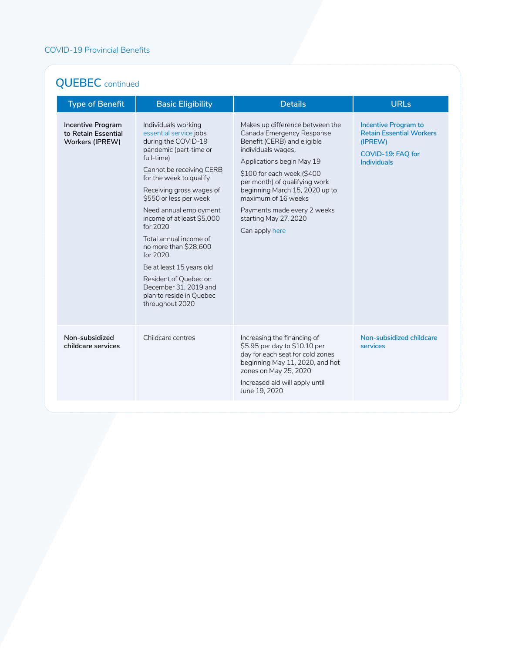# **QUEBEC** continued

| <b>Type of Benefit</b>                                             | <b>Basic Eligibility</b>                                                                                                                                                                                                                                                                                                                                                                                                                                                                  | <b>Details</b>                                                                                                                                                                                                                                                                                                                                   | <b>URLs</b>                                                                                                          |
|--------------------------------------------------------------------|-------------------------------------------------------------------------------------------------------------------------------------------------------------------------------------------------------------------------------------------------------------------------------------------------------------------------------------------------------------------------------------------------------------------------------------------------------------------------------------------|--------------------------------------------------------------------------------------------------------------------------------------------------------------------------------------------------------------------------------------------------------------------------------------------------------------------------------------------------|----------------------------------------------------------------------------------------------------------------------|
| <b>Incentive Program</b><br>to Retain Essential<br>Workers (IPREW) | Individuals working<br>essential service jobs<br>during the COVID-19<br>pandemic (part-time or<br>full-time)<br>Cannot be receiving CERB<br>for the week to qualify<br>Receiving gross wages of<br>\$550 or less per week<br>Need annual employment<br>income of at least \$5,000<br>for 2020<br>Total annual income of<br>no more than \$28,600<br>for 2020<br>Be at least 15 years old<br>Resident of Quebec on<br>December 31, 2019 and<br>plan to reside in Quebec<br>throughout 2020 | Makes up difference between the<br>Canada Emergency Response<br>Benefit (CERB) and eligible<br>individuals wages.<br>Applications begin May 19<br>\$100 for each week (\$400<br>per month) of qualifying work<br>beginning March 15, 2020 up to<br>maximum of 16 weeks<br>Payments made every 2 weeks<br>starting May 27, 2020<br>Can apply here | <b>Incentive Program to</b><br><b>Retain Essential Workers</b><br>(IPREW)<br>COVID-19: FAQ for<br><b>Individuals</b> |
| Non-subsidized<br>childcare services                               | Childcare centres                                                                                                                                                                                                                                                                                                                                                                                                                                                                         | Increasing the financing of<br>\$5.95 per day to \$10.10 per<br>day for each seat for cold zones<br>beginning May 11, 2020, and hot<br>zones on May 25, 2020<br>Increased aid will apply until<br>June 19, 2020                                                                                                                                  | Non-subsidized childcare<br>services                                                                                 |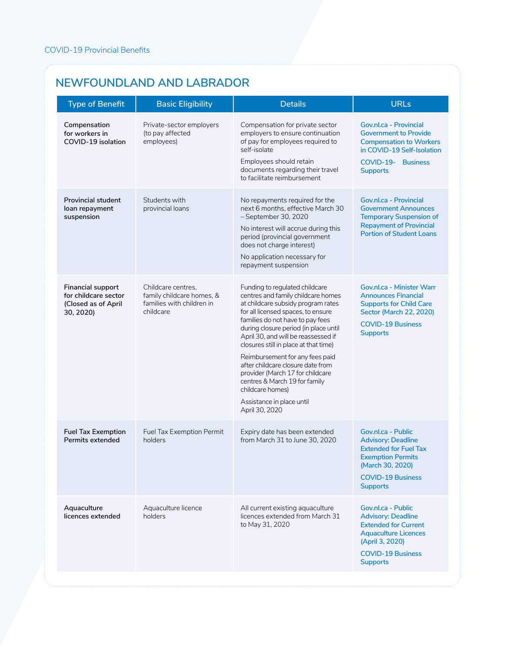#### **NEWFOUNDLAND AND LABRADOR**

| <b>Type of Benefit</b>                                                               | <b>Basic Eligibility</b>                                                                  | <b>Details</b>                                                                                                                                                                                                                                                                                                                                                                                                                                                                                                                | <b>URLs</b>                                                                                                                                                                     |
|--------------------------------------------------------------------------------------|-------------------------------------------------------------------------------------------|-------------------------------------------------------------------------------------------------------------------------------------------------------------------------------------------------------------------------------------------------------------------------------------------------------------------------------------------------------------------------------------------------------------------------------------------------------------------------------------------------------------------------------|---------------------------------------------------------------------------------------------------------------------------------------------------------------------------------|
| Compensation<br>for workers in<br>COVID-19 isolation                                 | Private-sector employers<br>(to pay affected<br>employees)                                | Compensation for private sector<br>employers to ensure continuation<br>of pay for employees required to<br>self-isolate<br>Employees should retain<br>documents regarding their travel<br>to facilitate reimbursement                                                                                                                                                                                                                                                                                                         | Gov.nl.ca - Provincial<br><b>Government to Provide</b><br><b>Compensation to Workers</b><br>in COVID-19 Self-Isolation<br>COVID-19- Business<br><b>Supports</b>                 |
| <b>Provincial student</b><br>loan repayment<br>suspension                            | Students with<br>provincial loans                                                         | No repayments required for the<br>next 6 months, effective March 30<br>- September 30, 2020<br>No interest will accrue during this<br>period (provincial government<br>does not charge interest)<br>No application necessary for<br>repayment suspension                                                                                                                                                                                                                                                                      | Gov.nl.ca - Provincial<br><b>Government Announces</b><br><b>Temporary Suspension of</b><br><b>Repayment of Provincial</b><br><b>Portion of Student Loans</b>                    |
| <b>Financial support</b><br>for childcare sector<br>(Closed as of April<br>30, 2020) | Childcare centres.<br>family childcare homes, &<br>families with children in<br>childcare | Funding to regulated childcare<br>centres and family childcare homes<br>at childcare subsidy program rates<br>for all licensed spaces, to ensure<br>families do not have to pay fees<br>during closure period (in place until<br>April 30, and will be reassessed if<br>closures still in place at that time)<br>Reimbursement for any fees paid<br>after childcare closure date from<br>provider (March 17 for childcare<br>centres & March 19 for family<br>childcare homes)<br>Assistance in place until<br>April 30, 2020 | Gov.nl.ca - Minister Warr<br><b>Announces Financial</b><br><b>Supports for Child Care</b><br>Sector (March 22, 2020)<br><b>COVID-19 Business</b><br><b>Supports</b>             |
| <b>Fuel Tax Exemption</b><br>Permits extended                                        | Fuel Tax Exemption Permit<br>holders                                                      | Expiry date has been extended<br>from March 31 to June 30, 2020                                                                                                                                                                                                                                                                                                                                                                                                                                                               | Gov.nl.ca - Public<br><b>Advisory: Deadline</b><br><b>Extended for Fuel Tax</b><br><b>Exemption Permits</b><br>(March 30, 2020)<br><b>COVID-19 Business</b><br><b>Supports</b>  |
| Aquaculture<br>licences extended                                                     | Aquaculture licence<br>holders                                                            | All current existing aquaculture<br>licences extended from March 31<br>to May 31, 2020                                                                                                                                                                                                                                                                                                                                                                                                                                        | Gov.nl.ca - Public<br><b>Advisory: Deadline</b><br><b>Extended for Current</b><br><b>Aquaculture Licences</b><br>(April 3, 2020)<br><b>COVID-19 Business</b><br><b>Supports</b> |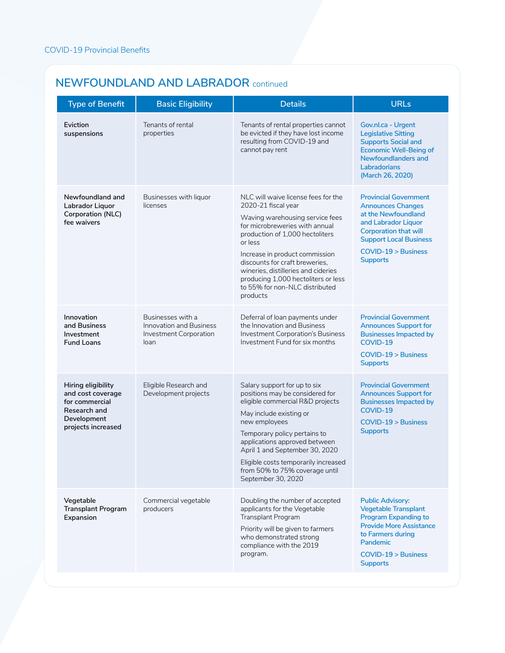#### **NEWFOUNDLAND AND LABRADOR** continued

| <b>Type of Benefit</b>                                                                                         | <b>Basic Eligibility</b>                                                                     | <b>Details</b>                                                                                                                                                                                                                                                                                                                                                                | <b>URLs</b>                                                                                                                                                                                                       |
|----------------------------------------------------------------------------------------------------------------|----------------------------------------------------------------------------------------------|-------------------------------------------------------------------------------------------------------------------------------------------------------------------------------------------------------------------------------------------------------------------------------------------------------------------------------------------------------------------------------|-------------------------------------------------------------------------------------------------------------------------------------------------------------------------------------------------------------------|
| Eviction<br>suspensions                                                                                        | Tenants of rental<br>properties                                                              | Tenants of rental properties cannot<br>be evicted if they have lost income<br>resulting from COVID-19 and<br>cannot pay rent                                                                                                                                                                                                                                                  | Gov.nl.ca - Urgent<br><b>Legislative Sitting</b><br><b>Supports Social and</b><br><b>Economic Well-Being of</b><br>Newfoundlanders and<br>Labradorians<br>(March 26, 2020)                                        |
| Newfoundland and<br>Labrador Liquor<br>Corporation (NLC)<br>fee waivers                                        | Businesses with liquor<br>licenses                                                           | NLC will waive license fees for the<br>2020-21 fiscal year<br>Waving warehousing service fees<br>for microbreweries with annual<br>production of 1,000 hectoliters<br>or less<br>Increase in product commission<br>discounts for craft breweries.<br>wineries, distilleries and cideries<br>producing 1,000 hectoliters or less<br>to 55% for non-NLC distributed<br>products | <b>Provincial Government</b><br><b>Announces Changes</b><br>at the Newfoundland<br>and Labrador Liquor<br><b>Corporation that will</b><br><b>Support Local Business</b><br>COVID-19 > Business<br><b>Supports</b> |
| Innovation<br>and Business<br>Investment<br><b>Fund Loans</b>                                                  | Businesses with a<br><b>Innovation and Business</b><br><b>Investment Corporation</b><br>loan | Deferral of loan payments under<br>the Innovation and Business<br>Investment Corporation's Business<br>Investment Fund for six months                                                                                                                                                                                                                                         | <b>Provincial Government</b><br><b>Announces Support for</b><br><b>Businesses Impacted by</b><br>COVID-19<br>$COVID-19 > Business$<br><b>Supports</b>                                                             |
| Hiring eligibility<br>and cost coverage<br>for commercial<br>Research and<br>Development<br>projects increased | Eligible Research and<br>Development projects                                                | Salary support for up to six<br>positions may be considered for<br>eligible commercial R&D projects<br>May include existing or<br>new employees<br>Temporary policy pertains to<br>applications approved between<br>April 1 and September 30, 2020<br>Eligible costs temporarily increased<br>from 50% to 75% coverage until<br>September 30, 2020                            | <b>Provincial Government</b><br><b>Announces Support for</b><br><b>Businesses Impacted by</b><br>COVID-19<br>$COVID-19 > Business$<br><b>Supports</b>                                                             |
| Vegetable<br><b>Transplant Program</b><br>Expansion                                                            | Commercial vegetable<br>producers                                                            | Doubling the number of accepted<br>applicants for the Vegetable<br>Transplant Program<br>Priority will be given to farmers<br>who demonstrated strong<br>compliance with the 2019<br>program.                                                                                                                                                                                 | <b>Public Advisory:</b><br><b>Vegetable Transplant</b><br><b>Program Expanding to</b><br><b>Provide More Assistance</b><br>to Farmers during<br>Pandemic<br>$COVID-19 > Business$<br><b>Supports</b>              |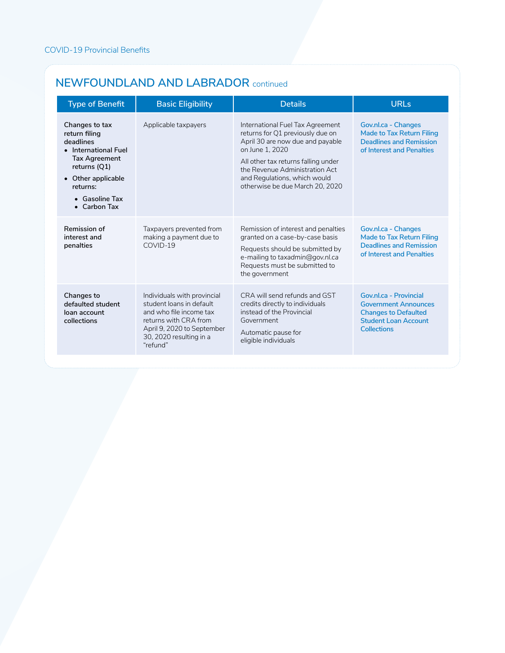#### **NEWFOUNDLAND AND LABRADOR** continued

| <b>Type of Benefit</b>                                                                                                                                                                   | <b>Basic Eligibility</b>                                                                                                                                                         | <b>Details</b>                                                                                                                                                                                                                                                          | URLs                                                                                                                               |
|------------------------------------------------------------------------------------------------------------------------------------------------------------------------------------------|----------------------------------------------------------------------------------------------------------------------------------------------------------------------------------|-------------------------------------------------------------------------------------------------------------------------------------------------------------------------------------------------------------------------------------------------------------------------|------------------------------------------------------------------------------------------------------------------------------------|
| Changes to tax<br>return filing<br>deadlines<br>• International Fuel<br><b>Tax Agreement</b><br>returns (Q1)<br>• Other applicable<br>returns:<br>$\bullet$ Gasoline Tax<br>• Carbon Tax | Applicable taxpayers                                                                                                                                                             | International Fuel Tax Agreement<br>returns for Q1 previously due on<br>April 30 are now due and payable<br>on June 1, 2020<br>All other tax returns falling under<br>the Revenue Administration Act<br>and Regulations, which would<br>otherwise be due March 20, 2020 | Gov.nl.ca - Changes<br>Made to Tax Return Filing<br><b>Deadlines and Remission</b><br>of Interest and Penalties                    |
| Remission of<br>interest and<br>penalties                                                                                                                                                | Taxpayers prevented from<br>making a payment due to<br>$COVID-19$                                                                                                                | Remission of interest and penalties<br>granted on a case-by-case basis<br>Requests should be submitted by<br>e-mailing to taxadmin@gov.nl.ca<br>Requests must be submitted to<br>the government                                                                         | Gov.nl.ca - Changes<br><b>Made to Tax Return Filing</b><br><b>Deadlines and Remission</b><br>of Interest and Penalties             |
| Changes to<br>defaulted student<br>loan account<br>collections                                                                                                                           | Individuals with provincial<br>student loans in default<br>and who file income tax<br>returns with CRA from<br>April 9, 2020 to September<br>30, 2020 resulting in a<br>"refund" | CRA will send refunds and GST<br>credits directly to individuals<br>instead of the Provincial<br>Government<br>Automatic pause for<br>eligible individuals                                                                                                              | Gov.nl.ca - Provincial<br><b>Government Announces</b><br><b>Changes to Defaulted</b><br><b>Student Loan Account</b><br>Collections |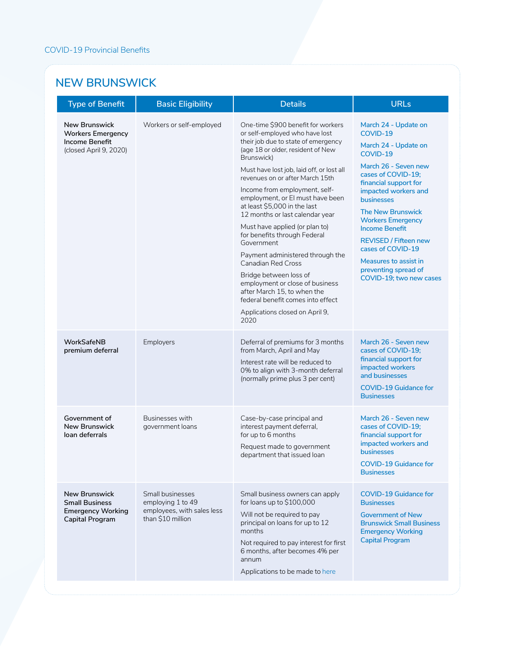### **NEW BRUNSWICK**

| <b>Type of Benefit</b>                                                                       | <b>Basic Eligibility</b>                                                                 | <b>Details</b>                                                                                                                                                                                                                                                                                                                                                                                                                                                                                                                                                                                                                                                                                                      | <b>URLs</b>                                                                                                                                                                                                                                                                                                                                                                                                |
|----------------------------------------------------------------------------------------------|------------------------------------------------------------------------------------------|---------------------------------------------------------------------------------------------------------------------------------------------------------------------------------------------------------------------------------------------------------------------------------------------------------------------------------------------------------------------------------------------------------------------------------------------------------------------------------------------------------------------------------------------------------------------------------------------------------------------------------------------------------------------------------------------------------------------|------------------------------------------------------------------------------------------------------------------------------------------------------------------------------------------------------------------------------------------------------------------------------------------------------------------------------------------------------------------------------------------------------------|
| <b>New Brunswick</b><br><b>Workers Emergency</b><br>Income Benefit<br>(closed April 9, 2020) | Workers or self-employed                                                                 | One-time \$900 benefit for workers<br>or self-employed who have lost<br>their job due to state of emergency<br>(age 18 or older, resident of New<br>Brunswick)<br>Must have lost job, laid off, or lost all<br>revenues on or after March 15th<br>Income from employment, self-<br>employment, or El must have been<br>at least \$5,000 in the last<br>12 months or last calendar year<br>Must have applied (or plan to)<br>for benefits through Federal<br>Government<br>Payment administered through the<br><b>Canadian Red Cross</b><br>Bridge between loss of<br>employment or close of business<br>after March 15, to when the<br>federal benefit comes into effect<br>Applications closed on April 9,<br>2020 | March 24 - Update on<br>COVID-19<br>March 24 - Update on<br>COVID-19<br>March 26 - Seven new<br>cases of COVID-19;<br>financial support for<br>impacted workers and<br><b>businesses</b><br><b>The New Brunswick</b><br><b>Workers Emergency</b><br><b>Income Benefit</b><br><b>REVISED / Fifteen new</b><br>cases of COVID-19<br>Measures to assist in<br>preventing spread of<br>COVID-19; two new cases |
| WorkSafeNB<br>premium deferral                                                               | Employers                                                                                | Deferral of premiums for 3 months<br>from March, April and May<br>Interest rate will be reduced to<br>0% to align with 3-month deferral<br>(normally prime plus 3 per cent)                                                                                                                                                                                                                                                                                                                                                                                                                                                                                                                                         | March 26 - Seven new<br>cases of COVID-19;<br>financial support for<br>impacted workers<br>and businesses<br><b>COVID-19 Guidance for</b><br><b>Businesses</b>                                                                                                                                                                                                                                             |
| Government of<br><b>New Brunswick</b><br>loan deferrals                                      | Businesses with<br>government loans                                                      | Case-by-case principal and<br>interest payment deferral,<br>for up to 6 months<br>Request made to government<br>department that issued loan                                                                                                                                                                                                                                                                                                                                                                                                                                                                                                                                                                         | March 26 - Seven new<br>cases of COVID-19;<br>financial support for<br>impacted workers and<br><b>businesses</b><br><b>COVID-19 Guidance for</b><br><b>Businesses</b>                                                                                                                                                                                                                                      |
| <b>New Brunswick</b><br><b>Small Business</b><br><b>Emergency Working</b><br>Capital Program | Small businesses<br>employing 1 to 49<br>employees, with sales less<br>than \$10 million | Small business owners can apply<br>for loans up to $$100,000$<br>Will not be required to pay<br>principal on loans for up to 12<br>months<br>Not required to pay interest for first<br>6 months, after becomes 4% per<br>annum<br>Applications to be made to here                                                                                                                                                                                                                                                                                                                                                                                                                                                   | <b>COVID-19 Guidance for</b><br><b>Businesses</b><br><b>Government of New</b><br><b>Brunswick Small Business</b><br><b>Emergency Working</b><br><b>Capital Program</b>                                                                                                                                                                                                                                     |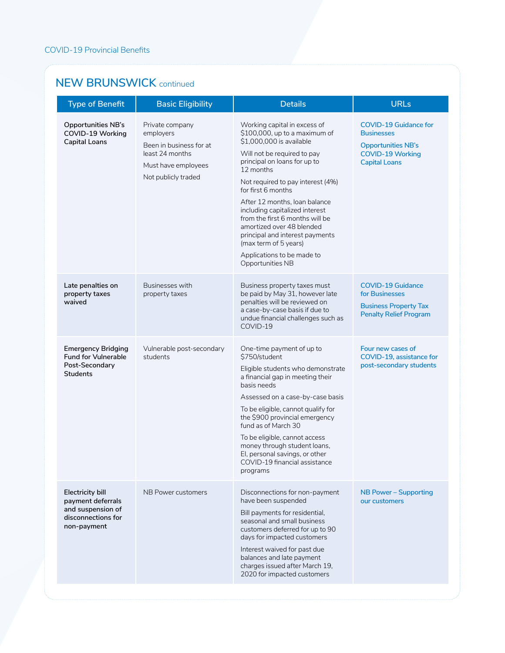#### **NEW BRUNSWICK** continued

| <b>Type of Benefit</b>                                                                                 | <b>Basic Eligibility</b>                                                                                                 | <b>Details</b>                                                                                                                                                                                                                                                                                                                                                                                                                                                                    | <b>URLs</b>                                                                                                                       |
|--------------------------------------------------------------------------------------------------------|--------------------------------------------------------------------------------------------------------------------------|-----------------------------------------------------------------------------------------------------------------------------------------------------------------------------------------------------------------------------------------------------------------------------------------------------------------------------------------------------------------------------------------------------------------------------------------------------------------------------------|-----------------------------------------------------------------------------------------------------------------------------------|
| <b>Opportunities NB's</b><br>COVID-19 Working<br><b>Capital Loans</b>                                  | Private company<br>employers<br>Been in business for at<br>least 24 months<br>Must have employees<br>Not publicly traded | Working capital in excess of<br>\$100,000, up to a maximum of<br>\$1,000,000 is available<br>Will not be required to pay<br>principal on loans for up to<br>12 months<br>Not required to pay interest (4%)<br>for first 6 months<br>After 12 months, loan balance<br>including capitalized interest<br>from the first 6 months will be<br>amortized over 48 blended<br>principal and interest payments<br>(max term of 5 years)<br>Applications to be made to<br>Opportunities NB | <b>COVID-19 Guidance for</b><br><b>Businesses</b><br><b>Opportunities NB's</b><br><b>COVID-19 Working</b><br><b>Capital Loans</b> |
| Late penalties on<br>property taxes<br>waived                                                          | Businesses with<br>property taxes                                                                                        | Business property taxes must<br>be paid by May 31, however late<br>penalties will be reviewed on<br>a case-by-case basis if due to<br>undue financial challenges such as<br>COVID-19                                                                                                                                                                                                                                                                                              | <b>COVID-19 Guidance</b><br>for Businesses<br><b>Business Property Tax</b><br><b>Penalty Relief Program</b>                       |
| <b>Emergency Bridging</b><br><b>Fund for Vulnerable</b><br>Post-Secondary<br><b>Students</b>           | Vulnerable post-secondary<br>students                                                                                    | One-time payment of up to<br>\$750/student<br>Eligible students who demonstrate<br>a financial gap in meeting their<br>basis needs<br>Assessed on a case-by-case basis<br>To be eligible, cannot qualify for<br>the \$900 provincial emergency<br>fund as of March 30<br>To be eligible, cannot access<br>money through student loans,<br>El, personal savings, or other<br>COVID-19 financial assistance<br>programs                                                             | Four new cases of<br>COVID-19, assistance for<br>post-secondary students                                                          |
| <b>Electricity bill</b><br>payment deferrals<br>and suspension of<br>disconnections for<br>non-payment | NB Power customers                                                                                                       | Disconnections for non-payment<br>have been suspended<br>Bill payments for residential,<br>seasonal and small business<br>customers deferred for up to 90<br>days for impacted customers<br>Interest waived for past due<br>balances and late payment<br>charges issued after March 19,<br>2020 for impacted customers                                                                                                                                                            | <b>NB Power - Supporting</b><br>our customers                                                                                     |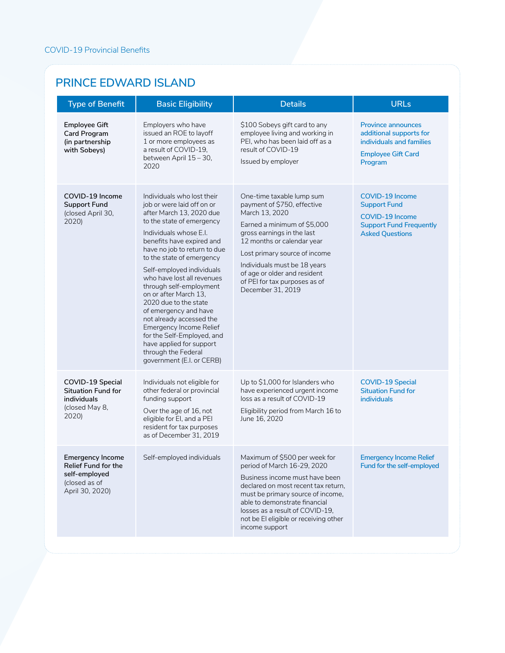### **PRINCE EDWARD ISLAND**

| <b>Type of Benefit</b>                                                                                     | <b>Basic Eligibility</b>                                                                                                                                                                                                                                                                                                                                                                                                                                                                                                                                                    | <b>Details</b>                                                                                                                                                                                                                                                                                                               | <b>URLs</b>                                                                                                                         |
|------------------------------------------------------------------------------------------------------------|-----------------------------------------------------------------------------------------------------------------------------------------------------------------------------------------------------------------------------------------------------------------------------------------------------------------------------------------------------------------------------------------------------------------------------------------------------------------------------------------------------------------------------------------------------------------------------|------------------------------------------------------------------------------------------------------------------------------------------------------------------------------------------------------------------------------------------------------------------------------------------------------------------------------|-------------------------------------------------------------------------------------------------------------------------------------|
| <b>Employee Gift</b><br><b>Card Program</b><br>(in partnership<br>with Sobeys)                             | Employers who have<br>issued an ROE to layoff<br>1 or more employees as<br>a result of COVID-19,<br>between April 15 - 30,<br>2020                                                                                                                                                                                                                                                                                                                                                                                                                                          | \$100 Sobeys gift card to any<br>employee living and working in<br>PEI, who has been laid off as a<br>result of COVID-19<br>Issued by employer                                                                                                                                                                               | <b>Province announces</b><br>additional supports for<br>individuals and families<br><b>Employee Gift Card</b><br>Program            |
| COVID-19 Income<br><b>Support Fund</b><br>(closed April 30,<br>2020)                                       | Individuals who lost their<br>job or were laid off on or<br>after March 13, 2020 due<br>to the state of emergency<br>Individuals whose E.I.<br>benefits have expired and<br>have no job to return to due<br>to the state of emergency<br>Self-employed individuals<br>who have lost all revenues<br>through self-employment<br>on or after March 13.<br>2020 due to the state<br>of emergency and have<br>not already accessed the<br>Emergency Income Relief<br>for the Self-Employed, and<br>have applied for support<br>through the Federal<br>government (E.I. or CERB) | One-time taxable lump sum<br>payment of \$750, effective<br>March 13, 2020<br>Earned a minimum of \$5,000<br>gross earnings in the last<br>12 months or calendar year<br>Lost primary source of income<br>Individuals must be 18 years<br>of age or older and resident<br>of PEI for tax purposes as of<br>December 31, 2019 | <b>COVID-19 Income</b><br><b>Support Fund</b><br><b>COVID-19 Income</b><br><b>Support Fund Frequently</b><br><b>Asked Questions</b> |
| COVID-19 Special<br><b>Situation Fund for</b><br>individuals<br>(closed May 8,<br>2020)                    | Individuals not eligible for<br>other federal or provincial<br>funding support<br>Over the age of 16, not<br>eligible for EI, and a PEI<br>resident for tax purposes<br>as of December 31, 2019                                                                                                                                                                                                                                                                                                                                                                             | Up to \$1,000 for Islanders who<br>have experienced urgent income<br>loss as a result of COVID-19<br>Eligibility period from March 16 to<br>June 16, 2020                                                                                                                                                                    | <b>COVID-19 Special</b><br><b>Situation Fund for</b><br><b>individuals</b>                                                          |
| <b>Emergency Income</b><br><b>Relief Fund for the</b><br>self-employed<br>(closed as of<br>April 30, 2020) | Self-employed individuals                                                                                                                                                                                                                                                                                                                                                                                                                                                                                                                                                   | Maximum of \$500 per week for<br>period of March 16-29, 2020<br>Business income must have been<br>declared on most recent tax return.<br>must be primary source of income,<br>able to demonstrate financial<br>losses as a result of COVID-19.<br>not be El eligible or receiving other<br>income support                    | <b>Emergency Income Relief</b><br>Fund for the self-employed                                                                        |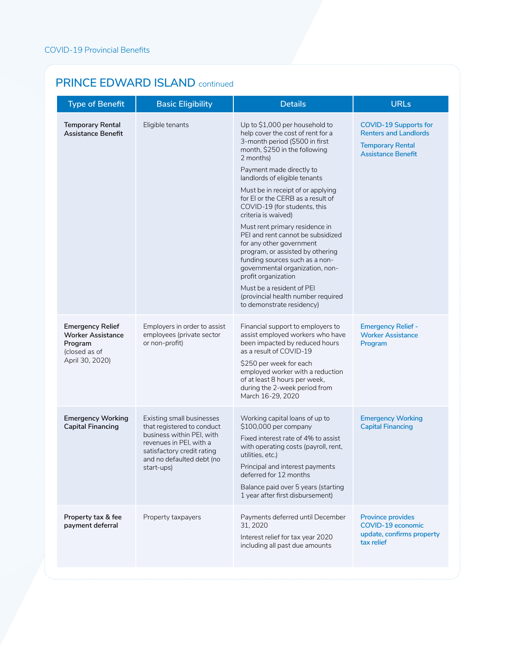| <b>Type of Benefit</b>                                                                             | <b>Basic Eligibility</b>                                                                                                                                                                 | <b>Details</b>                                                                                                                                                                                                                                                                                                                                                                                                                                                                                                                                                                                                                                                                       | <b>URLs</b>                                                                                                          |
|----------------------------------------------------------------------------------------------------|------------------------------------------------------------------------------------------------------------------------------------------------------------------------------------------|--------------------------------------------------------------------------------------------------------------------------------------------------------------------------------------------------------------------------------------------------------------------------------------------------------------------------------------------------------------------------------------------------------------------------------------------------------------------------------------------------------------------------------------------------------------------------------------------------------------------------------------------------------------------------------------|----------------------------------------------------------------------------------------------------------------------|
| <b>Temporary Rental</b><br>Assistance Benefit                                                      | Eligible tenants                                                                                                                                                                         | Up to \$1,000 per household to<br>help cover the cost of rent for a<br>3-month period (\$500 in first<br>month, \$250 in the following<br>2 months)<br>Payment made directly to<br>landlords of eligible tenants<br>Must be in receipt of or applying<br>for El or the CERB as a result of<br>COVID-19 (for students, this<br>criteria is waived)<br>Must rent primary residence in<br>PEI and rent cannot be subsidized<br>for any other government<br>program, or assisted by othering<br>funding sources such as a non-<br>governmental organization, non-<br>profit organization<br>Must be a resident of PEI<br>(provincial health number required<br>to demonstrate residency) | <b>COVID-19 Supports for</b><br><b>Renters and Landlords</b><br><b>Temporary Rental</b><br><b>Assistance Benefit</b> |
| <b>Emergency Relief</b><br><b>Worker Assistance</b><br>Program<br>(closed as of<br>April 30, 2020) | Employers in order to assist<br>employees (private sector<br>or non-profit)                                                                                                              | Financial support to employers to<br>assist employed workers who have<br>been impacted by reduced hours<br>as a result of COVID-19<br>\$250 per week for each<br>employed worker with a reduction<br>of at least 8 hours per week,<br>during the 2-week period from<br>March 16-29, 2020                                                                                                                                                                                                                                                                                                                                                                                             | <b>Emergency Relief -</b><br><b>Worker Assistance</b><br>Program                                                     |
| <b>Emergency Working</b><br><b>Capital Financing</b>                                               | Existing small businesses<br>that registered to conduct<br>business within PEI, with<br>revenues in PEI, with a<br>satisfactory credit rating<br>and no defaulted debt (no<br>start-ups) | Working capital loans of up to<br>\$100,000 per company<br>Fixed interest rate of 4% to assist<br>with operating costs (payroll, rent,<br>utilities, etc.)<br>Principal and interest payments<br>deferred for 12 months<br>Balance paid over 5 years (starting<br>1 year after first disbursement)                                                                                                                                                                                                                                                                                                                                                                                   | <b>Emergency Working</b><br><b>Capital Financing</b>                                                                 |
| Property tax & fee<br>payment deferral                                                             | Property taxpayers                                                                                                                                                                       | Payments deferred until December<br>31, 2020<br>Interest relief for tax year 2020<br>including all past due amounts                                                                                                                                                                                                                                                                                                                                                                                                                                                                                                                                                                  | <b>Province provides</b><br>COVID-19 economic<br>update, confirms property<br>tax relief                             |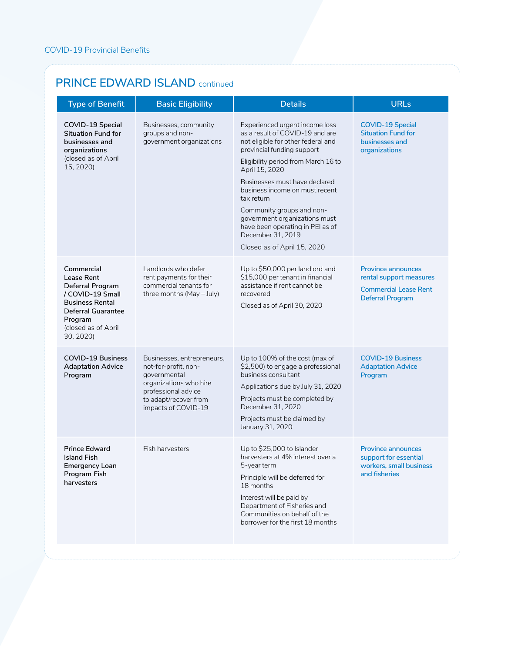| <b>Type of Benefit</b>                                                                                                                                                 | <b>Basic Eligibility</b>                                                                                                                                            | <b>Details</b>                                                                                                                                                                                                                                                                                                                                                                                                                        | <b>URLs</b>                                                                                                     |
|------------------------------------------------------------------------------------------------------------------------------------------------------------------------|---------------------------------------------------------------------------------------------------------------------------------------------------------------------|---------------------------------------------------------------------------------------------------------------------------------------------------------------------------------------------------------------------------------------------------------------------------------------------------------------------------------------------------------------------------------------------------------------------------------------|-----------------------------------------------------------------------------------------------------------------|
| COVID-19 Special<br><b>Situation Fund for</b><br>businesses and<br>organizations<br>(closed as of April<br>15, 2020)                                                   | Businesses, community<br>groups and non-<br>government organizations                                                                                                | Experienced urgent income loss<br>as a result of COVID-19 and are<br>not eligible for other federal and<br>provincial funding support<br>Eligibility period from March 16 to<br>April 15, 2020<br>Businesses must have declared<br>business income on must recent<br>tax return<br>Community groups and non-<br>government organizations must<br>have been operating in PEI as of<br>December 31, 2019<br>Closed as of April 15, 2020 | <b>COVID-19 Special</b><br><b>Situation Fund for</b><br>businesses and<br>organizations                         |
| Commercial<br>Lease Rent<br><b>Deferral Program</b><br>/ COVID-19 Small<br><b>Business Rental</b><br>Deferral Guarantee<br>Program<br>(closed as of April<br>30, 2020) | Landlords who defer<br>rent payments for their<br>commercial tenants for<br>three months (May - July)                                                               | Up to \$50,000 per landlord and<br>\$15,000 per tenant in financial<br>assistance if rent cannot be<br>recovered<br>Closed as of April 30, 2020                                                                                                                                                                                                                                                                                       | <b>Province announces</b><br>rental support measures<br><b>Commercial Lease Rent</b><br><b>Deferral Program</b> |
| <b>COVID-19 Business</b><br><b>Adaptation Advice</b><br>Program                                                                                                        | Businesses, entrepreneurs,<br>not-for-profit, non-<br>governmental<br>organizations who hire<br>professional advice<br>to adapt/recover from<br>impacts of COVID-19 | Up to 100% of the cost (max of<br>\$2,500) to engage a professional<br>business consultant<br>Applications due by July 31, 2020<br>Projects must be completed by<br>December 31, 2020<br>Projects must be claimed by<br>January 31, 2020                                                                                                                                                                                              | <b>COVID-19 Business</b><br><b>Adaptation Advice</b><br>Program                                                 |
| <b>Prince Edward</b><br><b>Island Fish</b><br><b>Emergency Loan</b><br>Program Fish<br>harvesters                                                                      | Fish harvesters                                                                                                                                                     | Up to \$25,000 to Islander<br>harvesters at 4% interest over a<br>5-year term<br>Principle will be deferred for<br>18 months<br>Interest will be paid by<br>Department of Fisheries and<br>Communities on behalf of the<br>borrower for the first 18 months                                                                                                                                                                           | <b>Province announces</b><br>support for essential<br>workers, small business<br>and fisheries                  |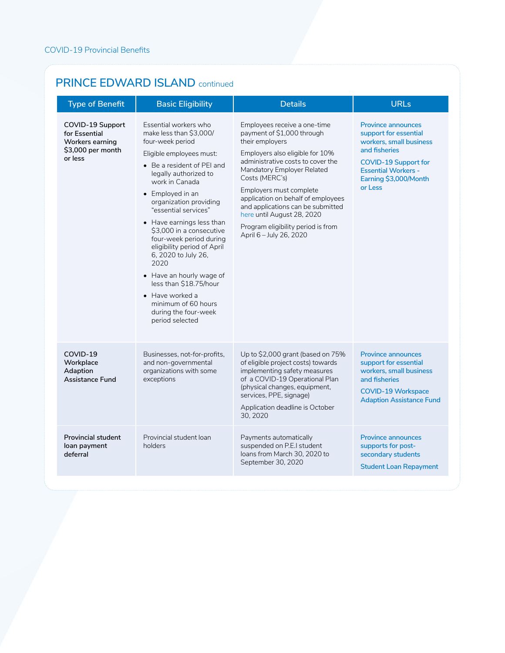| <b>Type of Benefit</b>                                                                      | <b>Basic Eligibility</b>                                                                                                                                                                                                                                                                                                                                                                                                                                                                                                                                     | <b>Details</b>                                                                                                                                                                                                                                                                                                                                                                                             | <b>URLs</b>                                                                                                                                                                                     |
|---------------------------------------------------------------------------------------------|--------------------------------------------------------------------------------------------------------------------------------------------------------------------------------------------------------------------------------------------------------------------------------------------------------------------------------------------------------------------------------------------------------------------------------------------------------------------------------------------------------------------------------------------------------------|------------------------------------------------------------------------------------------------------------------------------------------------------------------------------------------------------------------------------------------------------------------------------------------------------------------------------------------------------------------------------------------------------------|-------------------------------------------------------------------------------------------------------------------------------------------------------------------------------------------------|
| COVID-19 Support<br>for Essential<br><b>Workers earning</b><br>\$3,000 per month<br>or less | Essential workers who<br>make less than \$3,000/<br>four-week period<br>Eligible employees must:<br>• Be a resident of PEI and<br>legally authorized to<br>work in Canada<br>$\bullet$ Employed in an<br>organization providing<br>"essential services"<br>$\bullet$ Have earnings less than<br>\$3,000 in a consecutive<br>four-week period during<br>eligibility period of April<br>6, 2020 to July 26,<br>2020<br>• Have an hourly wage of<br>less than \$18.75/hour<br>• Have worked a<br>minimum of 60 hours<br>during the four-week<br>period selected | Employees receive a one-time<br>payment of \$1,000 through<br>their employers<br>Employers also eligible for 10%<br>administrative costs to cover the<br>Mandatory Employer Related<br>Costs (MERC's)<br>Employers must complete<br>application on behalf of employees<br>and applications can be submitted<br>here until August 28, 2020<br>Program eligibility period is from<br>April 6 - July 26, 2020 | <b>Province announces</b><br>support for essential<br>workers, small business<br>and fisheries<br><b>COVID-19 Support for</b><br><b>Essential Workers -</b><br>Earning \$3,000/Month<br>or Less |
| COVID-19<br>Workplace<br>Adaption<br><b>Assistance Fund</b>                                 | Businesses, not-for-profits,<br>and non-governmental<br>organizations with some<br>exceptions                                                                                                                                                                                                                                                                                                                                                                                                                                                                | Up to \$2,000 grant (based on 75%<br>of eligible project costs) towards<br>implementing safety measures<br>of a COVID-19 Operational Plan<br>(physical changes, equipment,<br>services, PPE, signage)<br>Application deadline is October<br>30, 2020                                                                                                                                                       | <b>Province announces</b><br>support for essential<br>workers, small business<br>and fisheries<br><b>COVID-19 Workspace</b><br><b>Adaption Assistance Fund</b>                                  |
| <b>Provincial student</b><br>loan payment<br>deferral                                       | Provincial student loan<br>holders                                                                                                                                                                                                                                                                                                                                                                                                                                                                                                                           | Payments automatically<br>suspended on P.E.I student<br>loans from March 30, 2020 to<br>September 30, 2020                                                                                                                                                                                                                                                                                                 | <b>Province announces</b><br>supports for post-<br>secondary students<br><b>Student Loan Repayment</b>                                                                                          |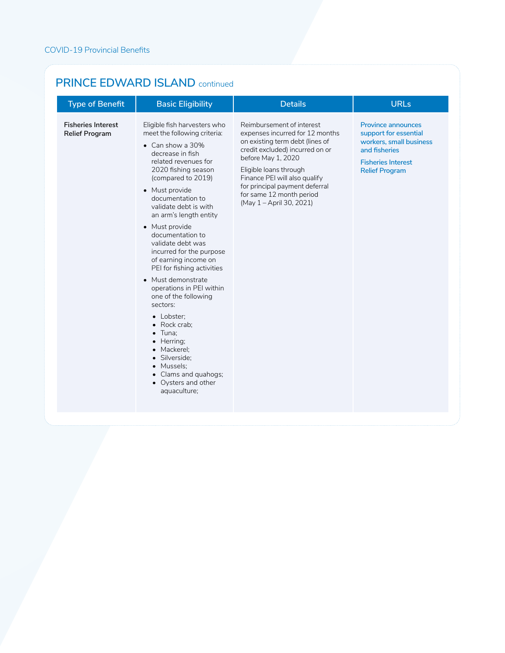| <b>Type of Benefit</b>                             | <b>Basic Eligibility</b>                                                                                                                                                                                                                                                                                                                                                                                                                                                                                                                                                                                                                                                                  | <b>Details</b>                                                                                                                                                                                                                                                                                                | <b>URLs</b>                                                                                                                                          |
|----------------------------------------------------|-------------------------------------------------------------------------------------------------------------------------------------------------------------------------------------------------------------------------------------------------------------------------------------------------------------------------------------------------------------------------------------------------------------------------------------------------------------------------------------------------------------------------------------------------------------------------------------------------------------------------------------------------------------------------------------------|---------------------------------------------------------------------------------------------------------------------------------------------------------------------------------------------------------------------------------------------------------------------------------------------------------------|------------------------------------------------------------------------------------------------------------------------------------------------------|
| <b>Fisheries Interest</b><br><b>Relief Program</b> | Eligible fish harvesters who<br>meet the following criteria:<br>$\bullet$ Can show a 30%<br>decrease in fish<br>related revenues for<br>2020 fishing season<br>(compared to 2019)<br>• Must provide<br>documentation to<br>validate debt is with<br>an arm's length entity<br>• Must provide<br>documentation to<br>validate debt was<br>incurred for the purpose<br>of earning income on<br>PEI for fishing activities<br>• Must demonstrate<br>operations in PEI within<br>one of the following<br>sectors:<br>• Lobster;<br>• Rock crab:<br>$\bullet$ Tuna:<br>• Herring;<br>• Mackerel;<br>· Silverside:<br>• Mussels;<br>• Clams and quahogs;<br>• Oysters and other<br>aquaculture; | Reimbursement of interest<br>expenses incurred for 12 months<br>on existing term debt (lines of<br>credit excluded) incurred on or<br>before May 1, 2020<br>Eligible loans through<br>Finance PEI will also qualify<br>for principal payment deferral<br>for same 12 month period<br>(May 1 - April 30, 2021) | <b>Province announces</b><br>support for essential<br>workers, small business<br>and fisheries<br><b>Fisheries Interest</b><br><b>Relief Program</b> |
|                                                    |                                                                                                                                                                                                                                                                                                                                                                                                                                                                                                                                                                                                                                                                                           |                                                                                                                                                                                                                                                                                                               |                                                                                                                                                      |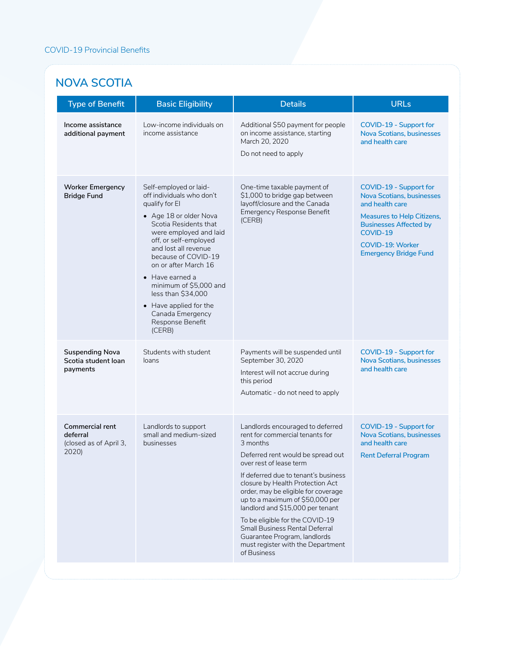#### **NOVA SCOTIA**

| <b>Type of Benefit</b>                                                | <b>Basic Eligibility</b>                                                                                                                                                                                                                                                                                                                                                                                  | <b>Details</b>                                                                                                                                                                                                                                                                                                                                                                                                                                                                                     | <b>URLs</b>                                                                                                                                                                                                                |
|-----------------------------------------------------------------------|-----------------------------------------------------------------------------------------------------------------------------------------------------------------------------------------------------------------------------------------------------------------------------------------------------------------------------------------------------------------------------------------------------------|----------------------------------------------------------------------------------------------------------------------------------------------------------------------------------------------------------------------------------------------------------------------------------------------------------------------------------------------------------------------------------------------------------------------------------------------------------------------------------------------------|----------------------------------------------------------------------------------------------------------------------------------------------------------------------------------------------------------------------------|
| Income assistance<br>additional payment                               | Low-income individuals on<br>income assistance                                                                                                                                                                                                                                                                                                                                                            | Additional \$50 payment for people<br>on income assistance, starting<br>March 20, 2020<br>Do not need to apply                                                                                                                                                                                                                                                                                                                                                                                     | COVID-19 - Support for<br><b>Nova Scotians, businesses</b><br>and health care                                                                                                                                              |
| <b>Worker Emergency</b><br><b>Bridge Fund</b>                         | Self-employed or laid-<br>off individuals who don't<br>qualify for El<br>• Age 18 or older Nova<br>Scotia Residents that<br>were employed and laid<br>off, or self-employed<br>and lost all revenue<br>because of COVID-19<br>on or after March 16<br>$\bullet$ Have earned a<br>minimum of \$5,000 and<br>less than \$34,000<br>• Have applied for the<br>Canada Emergency<br>Response Benefit<br>(CERB) | One-time taxable payment of<br>\$1,000 to bridge gap between<br>layoff/closure and the Canada<br><b>Emergency Response Benefit</b><br>(CERB)                                                                                                                                                                                                                                                                                                                                                       | COVID-19 - Support for<br><b>Nova Scotians, businesses</b><br>and health care<br><b>Measures to Help Citizens,</b><br><b>Businesses Affected by</b><br>COVID-19<br><b>COVID-19: Worker</b><br><b>Emergency Bridge Fund</b> |
| <b>Suspending Nova</b><br>Scotia student loan<br>payments             | Students with student<br>loans                                                                                                                                                                                                                                                                                                                                                                            | Payments will be suspended until<br>September 30, 2020<br>Interest will not accrue during<br>this period<br>Automatic - do not need to apply                                                                                                                                                                                                                                                                                                                                                       | COVID-19 - Support for<br><b>Nova Scotians, businesses</b><br>and health care                                                                                                                                              |
| <b>Commercial rent</b><br>deferral<br>(closed as of April 3,<br>2020) | Landlords to support<br>small and medium-sized<br>businesses                                                                                                                                                                                                                                                                                                                                              | Landlords encouraged to deferred<br>rent for commercial tenants for<br>3 months<br>Deferred rent would be spread out<br>over rest of lease term<br>If deferred due to tenant's business<br>closure by Health Protection Act<br>order, may be eligible for coverage<br>up to a maximum of \$50,000 per<br>landlord and \$15,000 per tenant<br>To be eligible for the COVID-19<br>Small Business Rental Deferral<br>Guarantee Program, landlords<br>must register with the Department<br>of Business | COVID-19 - Support for<br><b>Nova Scotians, businesses</b><br>and health care<br><b>Rent Deferral Program</b>                                                                                                              |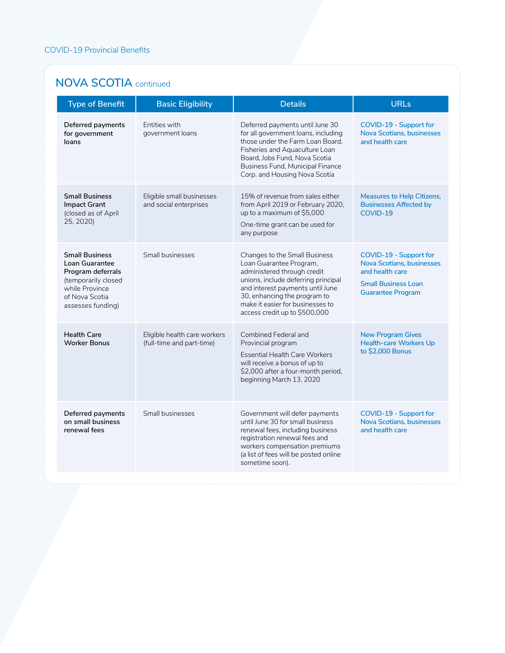#### **NOVA SCOTIA** continued

| <b>Type of Benefit</b>                                                                                                                       | <b>Basic Eligibility</b>                                  | <b>Details</b>                                                                                                                                                                                                                                                                 | <b>URLs</b>                                                                                                                             |
|----------------------------------------------------------------------------------------------------------------------------------------------|-----------------------------------------------------------|--------------------------------------------------------------------------------------------------------------------------------------------------------------------------------------------------------------------------------------------------------------------------------|-----------------------------------------------------------------------------------------------------------------------------------------|
| Deferred payments<br>for government<br>loans                                                                                                 | Entities with<br>government loans                         | Deferred payments until June 30<br>for all government loans, including<br>those under the Farm Loan Board.<br>Fisheries and Aquaculture Loan<br>Board, Jobs Fund, Nova Scotia<br>Business Fund, Municipal Finance<br>Corp. and Housing Nova Scotia                             | COVID-19 - Support for<br><b>Nova Scotians, businesses</b><br>and health care                                                           |
| <b>Small Business</b><br><b>Impact Grant</b><br>(closed as of April<br>25, 2020)                                                             | Eligible small businesses<br>and social enterprises       | 15% of revenue from sales either<br>from April 2019 or February 2020,<br>up to a maximum of \$5,000<br>One-time grant can be used for<br>any purpose                                                                                                                           | Measures to Help Citizens,<br><b>Businesses Affected by</b><br>COVID-19                                                                 |
| <b>Small Business</b><br>Loan Guarantee<br>Program deferrals<br>(temporarily closed<br>while Province<br>of Nova Scotia<br>assesses funding) | Small businesses                                          | <b>Changes to the Small Business</b><br>Loan Guarantee Program,<br>administered through credit<br>unions, include deferring principal<br>and interest payments until June<br>30, enhancing the program to<br>make it easier for businesses to<br>access credit up to \$500,000 | COVID-19 - Support for<br><b>Nova Scotians, businesses</b><br>and health care<br><b>Small Business Loan</b><br><b>Guarantee Program</b> |
| <b>Health Care</b><br><b>Worker Bonus</b>                                                                                                    | Eligible health care workers<br>(full-time and part-time) | <b>Combined Federal and</b><br>Provincial program<br><b>Essential Health Care Workers</b><br>will receive a bonus of up to<br>\$2,000 after a four-month period,<br>beginning March 13, 2020                                                                                   | <b>New Program Gives</b><br><b>Health-care Workers Up</b><br>to \$2,000 Bonus                                                           |
| Deferred payments<br>on small business<br>renewal fees                                                                                       | Small businesses                                          | Government will defer payments<br>until June 30 for small business<br>renewal fees, including business<br>registration renewal fees and<br>workers compensation premiums<br>(a list of fees will be posted online<br>sometime soon).                                           | COVID-19 - Support for<br><b>Nova Scotians, businesses</b><br>and health care                                                           |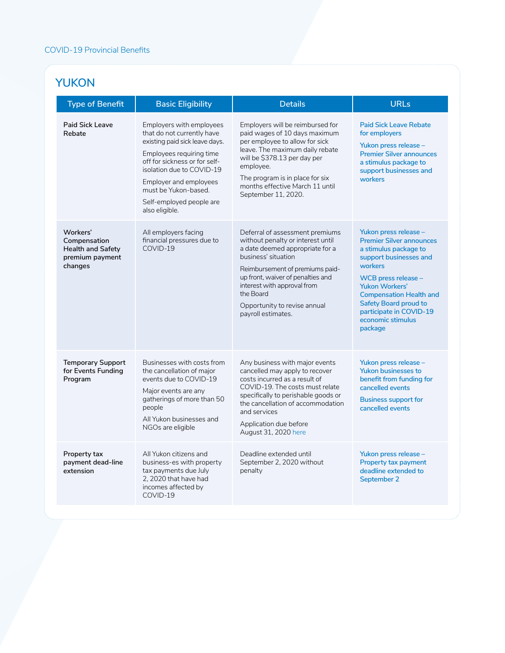## **YUKON**

| <b>Type of Benefit</b>                                                             | <b>Basic Eligibility</b>                                                                                                                                                                                                                                                           | <b>Details</b>                                                                                                                                                                                                                                                                                           | <b>URLs</b>                                                                                                                                                                                                                                                                                           |
|------------------------------------------------------------------------------------|------------------------------------------------------------------------------------------------------------------------------------------------------------------------------------------------------------------------------------------------------------------------------------|----------------------------------------------------------------------------------------------------------------------------------------------------------------------------------------------------------------------------------------------------------------------------------------------------------|-------------------------------------------------------------------------------------------------------------------------------------------------------------------------------------------------------------------------------------------------------------------------------------------------------|
| <b>Paid Sick Leave</b><br>Rebate                                                   | Employers with employees<br>that do not currently have<br>existing paid sick leave days.<br>Employees requiring time<br>off for sickness or for self-<br>isolation due to COVID-19<br>Employer and employees<br>must be Yukon-based.<br>Self-employed people are<br>also eligible. | Employers will be reimbursed for<br>paid wages of 10 days maximum<br>per employee to allow for sick<br>leave. The maximum daily rebate<br>will be \$378.13 per day per<br>employee.<br>The program is in place for six<br>months effective March 11 until<br>September 11, 2020.                         | <b>Paid Sick Leave Rebate</b><br>for employers<br>Yukon press release -<br><b>Premier Silver announces</b><br>a stimulus package to<br>support businesses and<br>workers                                                                                                                              |
| Workers'<br>Compensation<br><b>Health and Safety</b><br>premium payment<br>changes | All employers facing<br>financial pressures due to<br>COVID-19                                                                                                                                                                                                                     | Deferral of assessment premiums<br>without penalty or interest until<br>a date deemed appropriate for a<br>business' situation<br>Reimbursement of premiums paid-<br>up front, waiver of penalties and<br>interest with approval from<br>the Board<br>Opportunity to revise annual<br>payroll estimates. | Yukon press release -<br><b>Premier Silver announces</b><br>a stimulus package to<br>support businesses and<br>workers<br>WCB press release $-$<br><b>Yukon Workers'</b><br><b>Compensation Health and</b><br><b>Safety Board proud to</b><br>participate in COVID-19<br>economic stimulus<br>package |
| <b>Temporary Support</b><br>for Events Funding<br>Program                          | Businesses with costs from<br>the cancellation of major<br>events due to COVID-19<br>Major events are any<br>gatherings of more than 50<br>people<br>All Yukon businesses and<br>NGOs are eligible                                                                                 | Any business with major events<br>cancelled may apply to recover<br>costs incurred as a result of<br>COVID-19. The costs must relate<br>specifically to perishable goods or<br>the cancellation of accommodation<br>and services<br>Application due before<br>August 31, 2020 here                       | Yukon press release -<br><b>Yukon businesses to</b><br>benefit from funding for<br>cancelled events<br><b>Business support for</b><br>cancelled events                                                                                                                                                |
| Property tax<br>payment dead-line<br>extension                                     | All Yukon citizens and<br>business-es with property<br>tax payments due July<br>2, 2020 that have had<br>incomes affected by<br>COVID-19                                                                                                                                           | Deadline extended until<br>September 2, 2020 without<br>penalty                                                                                                                                                                                                                                          | Yukon press release -<br>Property tax payment<br>deadline extended to<br>September 2                                                                                                                                                                                                                  |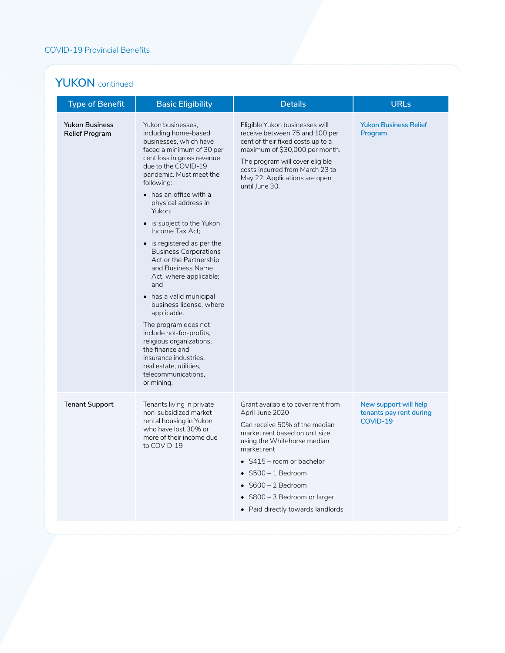#### YUKON continued

| <b>Type of Benefit</b>                         | <b>Basic Eligibility</b>                                                                                                                                                                                                                                                                                                                                                                                                                                                                                                                                                                                                                                                                                               | <b>Details</b>                                                                                                                                                                                                                                                                                                              | <b>URLs</b>                                                  |
|------------------------------------------------|------------------------------------------------------------------------------------------------------------------------------------------------------------------------------------------------------------------------------------------------------------------------------------------------------------------------------------------------------------------------------------------------------------------------------------------------------------------------------------------------------------------------------------------------------------------------------------------------------------------------------------------------------------------------------------------------------------------------|-----------------------------------------------------------------------------------------------------------------------------------------------------------------------------------------------------------------------------------------------------------------------------------------------------------------------------|--------------------------------------------------------------|
| <b>Yukon Business</b><br><b>Relief Program</b> | Yukon businesses,<br>including home-based<br>businesses, which have<br>faced a minimum of 30 per<br>cent loss in gross revenue<br>due to the COVID-19<br>pandemic. Must meet the<br>following:<br>• has an office with a<br>physical address in<br>Yukon;<br>• is subject to the Yukon<br>Income Tax Act;<br>• is registered as per the<br><b>Business Corporations</b><br>Act or the Partnership<br>and Business Name<br>Act, where applicable;<br>and<br>has a valid municipal<br>business license, where<br>applicable.<br>The program does not<br>include not-for-profits,<br>religious organizations,<br>the finance and<br>insurance industries.<br>real estate, utilities,<br>telecommunications.<br>or mining. | Eligible Yukon businesses will<br>receive between 75 and 100 per<br>cent of their fixed costs up to a<br>maximum of \$30,000 per month.<br>The program will cover eligible<br>costs incurred from March 23 to<br>May 22. Applications are open<br>until June 30.                                                            | <b>Yukon Business Relief</b><br>Program                      |
| <b>Tenant Support</b>                          | Tenants living in private<br>non-subsidized market<br>rental housing in Yukon<br>who have lost 30% or<br>more of their income due<br>to COVID-19                                                                                                                                                                                                                                                                                                                                                                                                                                                                                                                                                                       | Grant available to cover rent from<br>April-June 2020<br>Can receive 50% of the median<br>market rent based on unit size<br>using the Whitehorse median<br>market rent<br>• \$415 - room or bachelor<br>$\bullet$ \$500 – 1 Bedroom<br>S600 – 2 Bedroom<br>\$800 - 3 Bedroom or larger<br>• Paid directly towards landlords | New support will help<br>tenants pay rent during<br>COVID-19 |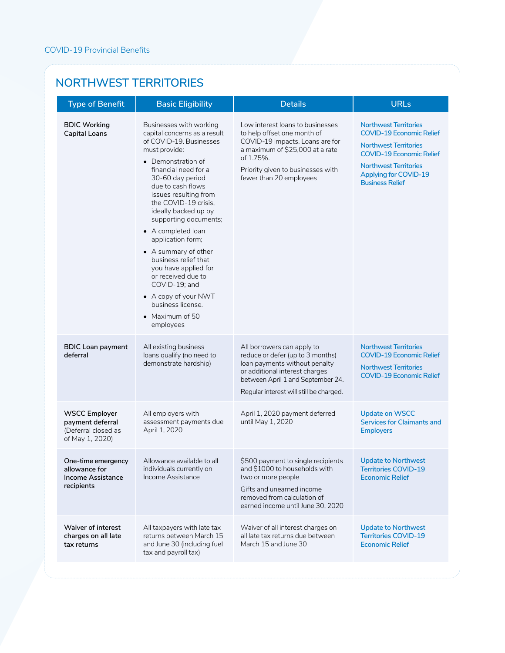#### **NORTHWEST TERRITORIES**

| <b>Type of Benefit</b>                                                             | <b>Basic Eligibility</b>                                                                                                                                                                                                                                                                                                                                                                                                                                                                                                            | <b>Details</b>                                                                                                                                                                                                     | <b>URLs</b>                                                                                                                                                                                                                  |
|------------------------------------------------------------------------------------|-------------------------------------------------------------------------------------------------------------------------------------------------------------------------------------------------------------------------------------------------------------------------------------------------------------------------------------------------------------------------------------------------------------------------------------------------------------------------------------------------------------------------------------|--------------------------------------------------------------------------------------------------------------------------------------------------------------------------------------------------------------------|------------------------------------------------------------------------------------------------------------------------------------------------------------------------------------------------------------------------------|
| <b>BDIC Working</b><br><b>Capital Loans</b>                                        | Businesses with working<br>capital concerns as a result<br>of COVID-19. Businesses<br>must provide:<br>• Demonstration of<br>financial need for a<br>30-60 day period<br>due to cash flows<br>issues resulting from<br>the COVID-19 crisis,<br>ideally backed up by<br>supporting documents;<br>• A completed loan<br>application form;<br>• A summary of other<br>business relief that<br>you have applied for<br>or received due to<br>COVID-19; and<br>• A copy of your NWT<br>business license.<br>• Maximum of 50<br>employees | Low interest loans to businesses<br>to help offset one month of<br>COVID-19 impacts. Loans are for<br>a maximum of \$25,000 at a rate<br>of 1.75%.<br>Priority given to businesses with<br>fewer than 20 employees | <b>Northwest Territories</b><br><b>COVID-19 Economic Relief</b><br><b>Northwest Territories</b><br><b>COVID-19 Economic Relief</b><br><b>Northwest Territories</b><br><b>Applying for COVID-19</b><br><b>Business Relief</b> |
| <b>BDIC Loan payment</b><br>deferral                                               | All existing business<br>loans qualify (no need to<br>demonstrate hardship)                                                                                                                                                                                                                                                                                                                                                                                                                                                         | All borrowers can apply to<br>reduce or defer (up to 3 months)<br>loan payments without penalty<br>or additional interest charges<br>between April 1 and September 24.<br>Regular interest will still be charged.  | <b>Northwest Territories</b><br><b>COVID-19 Economic Relief</b><br><b>Northwest Territories</b><br><b>COVID-19 Economic Relief</b>                                                                                           |
| <b>WSCC Employer</b><br>payment deferral<br>(Deferral closed as<br>of May 1, 2020) | All employers with<br>assessment payments due<br>April 1, 2020                                                                                                                                                                                                                                                                                                                                                                                                                                                                      | April 1, 2020 payment deferred<br>until May 1, 2020                                                                                                                                                                | <b>Update on WSCC</b><br><b>Services for Claimants and</b><br><b>Employers</b>                                                                                                                                               |
| One-time emergency<br>allowance for<br><b>Income Assistance</b><br>recipients      | Allowance available to all<br>individuals currently on<br>Income Assistance                                                                                                                                                                                                                                                                                                                                                                                                                                                         | \$500 payment to single recipients<br>and \$1000 to households with<br>two or more people<br>Gifts and unearned income<br>removed from calculation of<br>earned income until June 30, 2020                         | <b>Update to Northwest</b><br><b>Territories COVID-19</b><br><b>Economic Relief</b>                                                                                                                                          |
| <b>Waiver of interest</b><br>charges on all late<br>tax returns                    | All taxpayers with late tax<br>returns between March 15<br>and June 30 (including fuel<br>tax and payroll tax)                                                                                                                                                                                                                                                                                                                                                                                                                      | Waiver of all interest charges on<br>all late tax returns due between<br>March 15 and June 30                                                                                                                      | <b>Update to Northwest</b><br><b>Territories COVID-19</b><br><b>Economic Relief</b>                                                                                                                                          |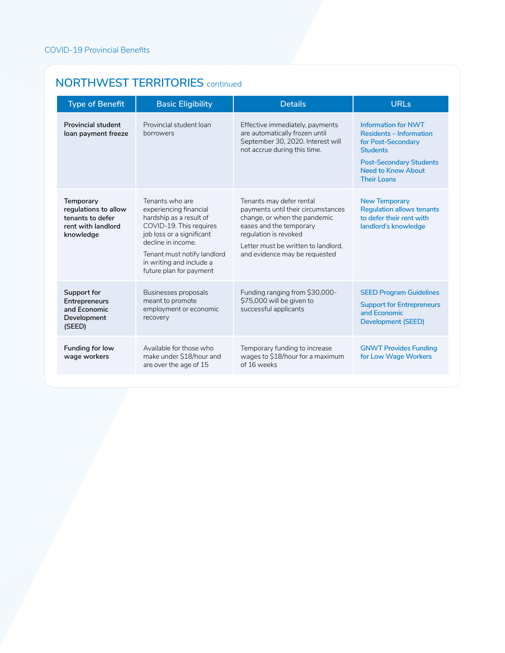#### **NORTHWEST TERRITORIES** continued

| <b>Type of Benefit</b>                                                                   | <b>Basic Eligibility</b>                                                                                                                                                                                                                 | <b>Details</b>                                                                                                                                                                                                             | URLs                                                                                                                                                                                |
|------------------------------------------------------------------------------------------|------------------------------------------------------------------------------------------------------------------------------------------------------------------------------------------------------------------------------------------|----------------------------------------------------------------------------------------------------------------------------------------------------------------------------------------------------------------------------|-------------------------------------------------------------------------------------------------------------------------------------------------------------------------------------|
| <b>Provincial student</b><br>loan payment freeze                                         | Provincial student loan<br>borrowers                                                                                                                                                                                                     | Effective immediately, payments<br>are automatically frozen until<br>September 30, 2020. Interest will<br>not accrue during this time.                                                                                     | <b>Information for NWT</b><br><b>Residents - Information</b><br>for Post-Secondary<br><b>Students</b><br><b>Post-Secondary Students</b><br>Need to Know About<br><b>Their Loans</b> |
| Temporary<br>regulations to allow<br>tenants to defer<br>rent with landlord<br>knowledge | Tenants who are<br>experiencing financial<br>hardship as a result of<br>COVID-19. This requires<br>job loss or a significant<br>decline in income.<br>Tenant must notify landlord<br>in writing and include a<br>future plan for payment | Tenants may defer rental<br>payments until their circumstances<br>change, or when the pandemic<br>eases and the temporary<br>regulation is revoked<br>Letter must be written to landlord.<br>and evidence may be requested | <b>New Temporary</b><br><b>Regulation allows tenants</b><br>to defer their rent with<br>landlord's knowledge                                                                        |
| Support for<br>Entrepreneurs<br>and Economic<br>Development<br>(SEED)                    | Businesses proposals<br>meant to promote<br>employment or economic<br>recovery                                                                                                                                                           | Funding ranging from \$30,000-<br>\$75,000 will be given to<br>successful applicants                                                                                                                                       | <b>SEED Program Guidelines</b><br><b>Support for Entrepreneurs</b><br>and Economic<br>Development (SEED)                                                                            |
| Funding for low<br>wage workers                                                          | Available for those who<br>make under \$18/hour and<br>are over the age of 15                                                                                                                                                            | Temporary funding to increase<br>wages to \$18/hour for a maximum<br>of 16 weeks                                                                                                                                           | <b>GNWT Provides Funding</b><br>for Low Wage Workers                                                                                                                                |